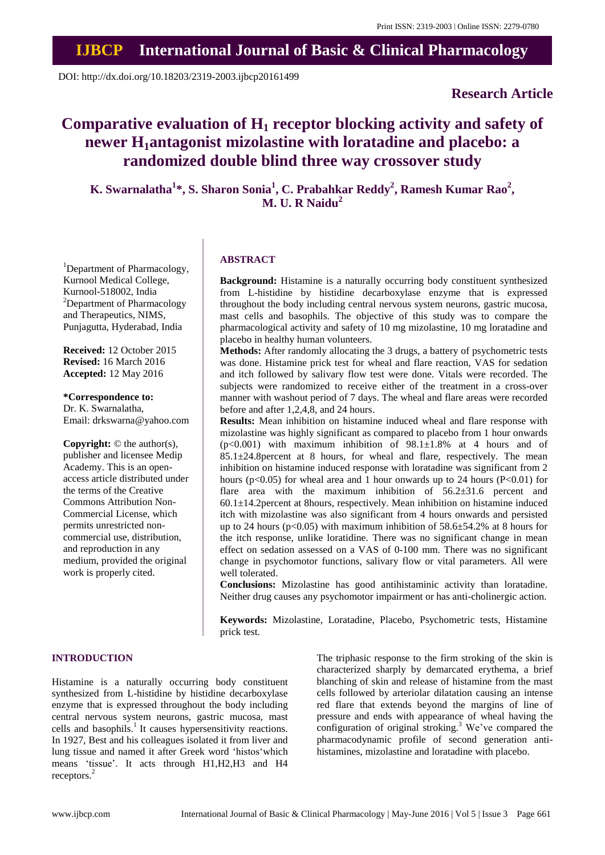## **IJBCP International Journal of Basic & Clinical Pharmacology**

DOI: http://dx.doi.org/10.18203/2319-2003.ijbcp20161499

## **Research Article**

# **Comparative evaluation of H<sup>1</sup> receptor blocking activity and safety of newer H1antagonist mizolastine with loratadine and placebo: a randomized double blind three way crossover study**

**K. Swarnalatha<sup>1</sup> \*, S. Sharon Sonia<sup>1</sup> , C. Prabahkar Reddy<sup>2</sup> , Ramesh Kumar Rao<sup>2</sup> , M. U. R Naidu<sup>2</sup>**

<sup>1</sup>Department of Pharmacology, Kurnool Medical College, Kurnool-518002, India <sup>2</sup>Department of Pharmacology and Therapeutics, NIMS, Punjagutta, Hyderabad, India

**Received:** 12 October 2015 **Revised:** 16 March 2016 **Accepted:** 12 May 2016

**\*Correspondence to:** Dr. K. Swarnalatha, Email: drkswarna@yahoo.com

**Copyright:** © the author(s), publisher and licensee Medip Academy. This is an openaccess article distributed under the terms of the Creative Commons Attribution Non-Commercial License, which permits unrestricted noncommercial use, distribution, and reproduction in any medium, provided the original work is properly cited.

#### **ABSTRACT**

**Background:** Histamine is a naturally occurring body constituent synthesized from L-histidine by histidine decarboxylase enzyme that is expressed throughout the body including central nervous system neurons, gastric mucosa, mast cells and basophils. The objective of this study was to compare the pharmacological activity and safety of 10 mg mizolastine, 10 mg loratadine and placebo in healthy human volunteers.

**Methods:** After randomly allocating the 3 drugs, a battery of psychometric tests was done. Histamine prick test for wheal and flare reaction, VAS for sedation and itch followed by salivary flow test were done. Vitals were recorded. The subjects were randomized to receive either of the treatment in a cross-over manner with washout period of 7 days. The wheal and flare areas were recorded before and after 1,2,4,8, and 24 hours.

**Results:** Mean inhibition on histamine induced wheal and flare response with mizolastine was highly significant as compared to placebo from 1 hour onwards  $(p<0.001)$  with maximum inhibition of  $98.1 \pm 1.8\%$  at 4 hours and of  $85.1 \pm 24.8$  percent at 8 hours, for wheal and flare, respectively. The mean inhibition on histamine induced response with loratadine was significant from 2 hours ( $p<0.05$ ) for wheal area and 1 hour onwards up to 24 hours ( $P<0.01$ ) for flare area with the maximum inhibition of 56.2 $\pm$ 31.6 percent and 60.1±14.2percent at 8hours, respectively. Mean inhibition on histamine induced itch with mizolastine was also significant from 4 hours onwards and persisted up to 24 hours ( $p<0.05$ ) with maximum inhibition of 58.6 $\pm$ 54.2% at 8 hours for the itch response, unlike loratidine. There was no significant change in mean effect on sedation assessed on a VAS of 0-100 mm. There was no significant change in psychomotor functions, salivary flow or vital parameters. All were well tolerated.

**Conclusions:** Mizolastine has good antihistaminic activity than loratadine. Neither drug causes any psychomotor impairment or has anti-cholinergic action.

**Keywords:** Mizolastine, Loratadine, Placebo, Psychometric tests, Histamine prick test.

#### **INTRODUCTION**

Histamine is a naturally occurring body constituent synthesized from L-histidine by histidine decarboxylase enzyme that is expressed throughout the body including central nervous system neurons, gastric mucosa, mast cells and basophils.<sup>1</sup> It causes hypersensitivity reactions. In 1927, Best and his colleagues isolated it from liver and lung tissue and named it after Greek word 'histos'which means 'tissue'. It acts through H1,H2,H3 and H4 receptors.<sup>2</sup>

The triphasic response to the firm stroking of the skin is characterized sharply by demarcated erythema, a brief blanching of skin and release of histamine from the mast cells followed by arteriolar dilatation causing an intense red flare that extends beyond the margins of line of pressure and ends with appearance of wheal having the configuration of original stroking.<sup>3</sup> We've compared the pharmacodynamic profile of second generation antihistamines, mizolastine and loratadine with placebo.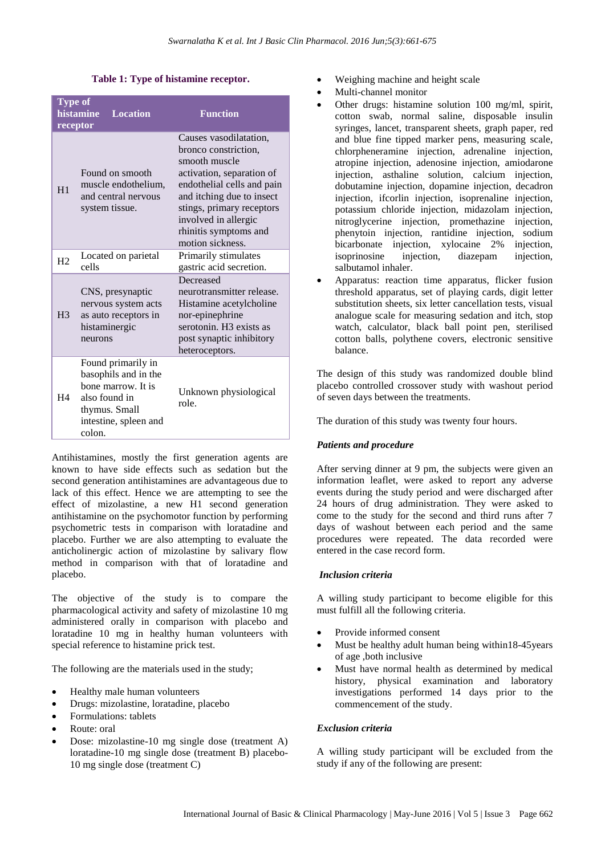#### **Table 1: Type of histamine receptor.**

| <b>Type of</b><br>receptor | histamine<br><b>Location</b>                                                                                                          | <b>Function</b>                                                                                                                                                                                                                                           |
|----------------------------|---------------------------------------------------------------------------------------------------------------------------------------|-----------------------------------------------------------------------------------------------------------------------------------------------------------------------------------------------------------------------------------------------------------|
| H1                         | Found on smooth<br>muscle endothelium,<br>and central nervous<br>system tissue.                                                       | Causes vasodilatation,<br>bronco constriction,<br>smooth muscle<br>activation, separation of<br>endothelial cells and pain<br>and itching due to insect<br>stings, primary receptors<br>involved in allergic<br>rhinitis symptoms and<br>motion sickness. |
| H <sub>2</sub>             | Located on parietal<br>cells                                                                                                          | Primarily stimulates<br>gastric acid secretion.                                                                                                                                                                                                           |
| H <sub>3</sub>             | CNS, presynaptic<br>nervous system acts<br>as auto receptors in<br>histaminergic<br>neurons                                           | Decreased<br>neurotransmitter release.<br>Histamine acetylcholine<br>nor-epinephrine<br>serotonin. H <sub>3</sub> exists as<br>post synaptic inhibitory<br>heteroceptors.                                                                                 |
| H4                         | Found primarily in<br>basophils and in the<br>bone marrow. It is<br>also found in<br>thymus. Small<br>intestine, spleen and<br>colon. | Unknown physiological<br>role.                                                                                                                                                                                                                            |

Antihistamines, mostly the first generation agents are known to have side effects such as sedation but the second generation antihistamines are advantageous due to lack of this effect. Hence we are attempting to see the effect of mizolastine, a new H1 second generation antihistamine on the psychomotor function by performing psychometric tests in comparison with loratadine and placebo. Further we are also attempting to evaluate the anticholinergic action of mizolastine by salivary flow method in comparison with that of loratadine and placebo.

The objective of the study is to compare the pharmacological activity and safety of mizolastine 10 mg administered orally in comparison with placebo and loratadine 10 mg in healthy human volunteers with special reference to histamine prick test.

The following are the materials used in the study;

- Healthy male human volunteers
- Drugs: mizolastine, loratadine, placebo
- Formulations: tablets
- Route: oral
- Dose: mizolastine-10 mg single dose (treatment A) loratadine-10 mg single dose (treatment B) placebo-10 mg single dose (treatment C)
- Weighing machine and height scale
- Multi-channel monitor
- Other drugs: histamine solution 100 mg/ml, spirit, cotton swab, normal saline, disposable insulin syringes, lancet, transparent sheets, graph paper, red and blue fine tipped marker pens, measuring scale, chlorpheneramine injection, adrenaline injection, atropine injection, adenosine injection, amiodarone injection, asthaline solution, calcium injection, dobutamine injection, dopamine injection, decadron injection, ifcorlin injection, isoprenaline injection, potassium chloride injection, midazolam injection, nitroglycerine injection, promethazine injection, phenytoin injection, rantidine injection, sodium bicarbonate injection, xylocaine 2% injection, isoprinosine injection, diazepam injection, salbutamol inhaler.
- Apparatus: reaction time apparatus, flicker fusion threshold apparatus, set of playing cards, digit letter substitution sheets, six letter cancellation tests, visual analogue scale for measuring sedation and itch, stop watch, calculator, black ball point pen, sterilised cotton balls, polythene covers, electronic sensitive balance.

The design of this study was randomized double blind placebo controlled crossover study with washout period of seven days between the treatments.

The duration of this study was twenty four hours.

## *Patients and procedure*

After serving dinner at 9 pm, the subjects were given an information leaflet, were asked to report any adverse events during the study period and were discharged after 24 hours of drug administration. They were asked to come to the study for the second and third runs after 7 days of washout between each period and the same procedures were repeated. The data recorded were entered in the case record form.

## *Inclusion criteria*

A willing study participant to become eligible for this must fulfill all the following criteria.

- Provide informed consent
- Must be healthy adult human being within 18-45 years of age ,both inclusive
- Must have normal health as determined by medical history, physical examination and laboratory investigations performed 14 days prior to the commencement of the study.

## *Exclusion criteria*

A willing study participant will be excluded from the study if any of the following are present: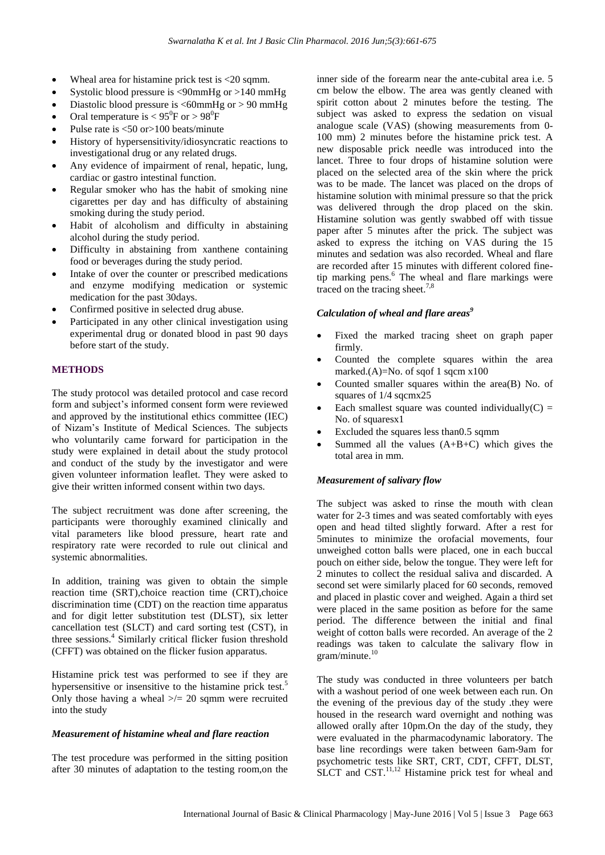- Wheal area for histamine prick test is  $\langle 20 \text{ sqmm.} \rangle$
- Systolic blood pressure is <90mmHg or >140 mmHg
- Diastolic blood pressure is <60mmHg or > 90 mmHg
- Oral temperature is  $< 95^{\circ}$ F or  $> 98^{\circ}$ F
- Pulse rate is <50 or>100 beats/minute
- History of hypersensitivity/idiosyncratic reactions to investigational drug or any related drugs.
- Any evidence of impairment of renal, hepatic, lung, cardiac or gastro intestinal function.
- Regular smoker who has the habit of smoking nine cigarettes per day and has difficulty of abstaining smoking during the study period.
- Habit of alcoholism and difficulty in abstaining alcohol during the study period.
- Difficulty in abstaining from xanthene containing food or beverages during the study period.
- Intake of over the counter or prescribed medications and enzyme modifying medication or systemic medication for the past 30days.
- Confirmed positive in selected drug abuse.
- Participated in any other clinical investigation using experimental drug or donated blood in past 90 days before start of the study.

## **METHODS**

The study protocol was detailed protocol and case record form and subject's informed consent form were reviewed and approved by the institutional ethics committee (IEC) of Nizam's Institute of Medical Sciences. The subjects who voluntarily came forward for participation in the study were explained in detail about the study protocol and conduct of the study by the investigator and were given volunteer information leaflet. They were asked to give their written informed consent within two days.

The subject recruitment was done after screening, the participants were thoroughly examined clinically and vital parameters like blood pressure, heart rate and respiratory rate were recorded to rule out clinical and systemic abnormalities.

In addition, training was given to obtain the simple reaction time (SRT),choice reaction time (CRT),choice discrimination time (CDT) on the reaction time apparatus and for digit letter substitution test (DLST), six letter cancellation test (SLCT) and card sorting test (CST), in three sessions.<sup>4</sup> Similarly critical flicker fusion threshold (CFFT) was obtained on the flicker fusion apparatus.

Histamine prick test was performed to see if they are hypersensitive or insensitive to the histamine prick test.<sup>5</sup> Only those having a wheal  $\ge$ /= 20 sqmm were recruited into the study

#### *Measurement of histamine wheal and flare reaction*

The test procedure was performed in the sitting position after 30 minutes of adaptation to the testing room,on the

inner side of the forearm near the ante-cubital area i.e. 5 cm below the elbow. The area was gently cleaned with spirit cotton about 2 minutes before the testing. The subject was asked to express the sedation on visual analogue scale (VAS) (showing measurements from 0- 100 mm) 2 minutes before the histamine prick test. A new disposable prick needle was introduced into the lancet. Three to four drops of histamine solution were placed on the selected area of the skin where the prick was to be made. The lancet was placed on the drops of histamine solution with minimal pressure so that the prick was delivered through the drop placed on the skin. Histamine solution was gently swabbed off with tissue paper after 5 minutes after the prick. The subject was asked to express the itching on VAS during the 15 minutes and sedation was also recorded. Wheal and flare are recorded after 15 minutes with different colored finetip marking pens.<sup>6</sup> The wheal and flare markings were traced on the tracing sheet. $7,8$ 

## *Calculation of wheal and flare areas<sup>9</sup>*

- Fixed the marked tracing sheet on graph paper firmly.
- Counted the complete squares within the area marked.(A)=No. of sqof 1 sqcm x100
- Counted smaller squares within the area(B) No. of squares of 1/4 sqcmx25
- Each smallest square was counted individually( $C$ ) = No. of squaresx1
- Excluded the squares less than0.5 sqmm
- Summed all the values  $(A+B+C)$  which gives the total area in mm.

## *Measurement of salivary flow*

The subject was asked to rinse the mouth with clean water for 2-3 times and was seated comfortably with eyes open and head tilted slightly forward. After a rest for 5minutes to minimize the orofacial movements, four unweighed cotton balls were placed, one in each buccal pouch on either side, below the tongue. They were left for 2 minutes to collect the residual saliva and discarded. A second set were similarly placed for 60 seconds, removed and placed in plastic cover and weighed. Again a third set were placed in the same position as before for the same period. The difference between the initial and final weight of cotton balls were recorded. An average of the 2 readings was taken to calculate the salivary flow in gram/minute. 10

The study was conducted in three volunteers per batch with a washout period of one week between each run. On the evening of the previous day of the study .they were housed in the research ward overnight and nothing was allowed orally after 10pm.On the day of the study, they were evaluated in the pharmacodynamic laboratory. The base line recordings were taken between 6am-9am for psychometric tests like SRT, CRT, CDT, CFFT, DLST, SLCT and CST. $^{11,12}$  Histamine prick test for wheal and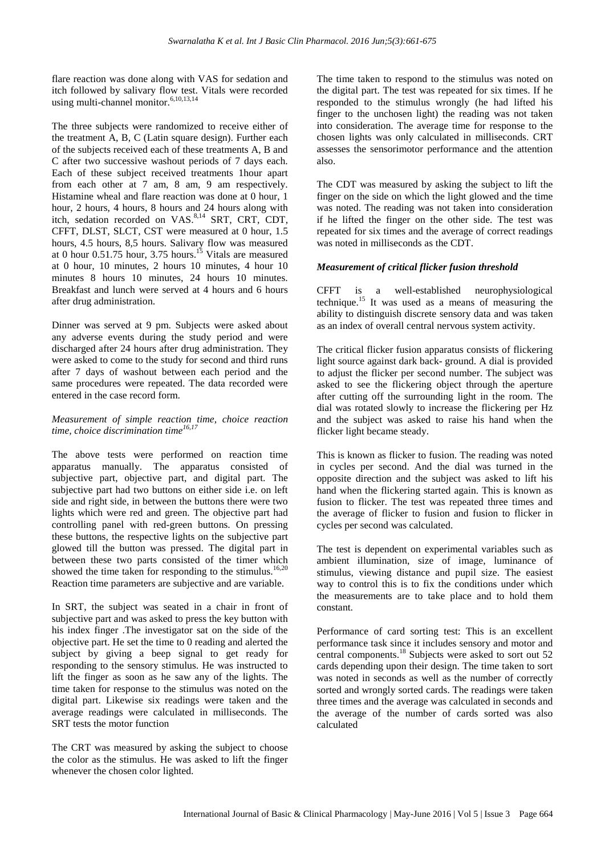flare reaction was done along with VAS for sedation and itch followed by salivary flow test. Vitals were recorded using multi-channel monitor.<sup>6,10,13,14</sup>

The three subjects were randomized to receive either of the treatment A, B, C (Latin square design). Further each of the subjects received each of these treatments A, B and C after two successive washout periods of 7 days each. Each of these subject received treatments 1hour apart from each other at 7 am, 8 am, 9 am respectively. Histamine wheal and flare reaction was done at 0 hour, 1 hour, 2 hours, 4 hours, 8 hours and 24 hours along with itch, sedation recorded on VAS.<sup>8,14</sup> SRT, CRT, CDT, CFFT, DLST, SLCT, CST were measured at 0 hour, 1.5 hours, 4.5 hours, 8,5 hours. Salivary flow was measured at 0 hour  $0.51.75$  hour,  $3.75$  hours.<sup>15</sup> Vitals are measured at 0 hour, 10 minutes, 2 hours 10 minutes, 4 hour 10 minutes 8 hours 10 minutes, 24 hours 10 minutes. Breakfast and lunch were served at 4 hours and 6 hours after drug administration.

Dinner was served at 9 pm. Subjects were asked about any adverse events during the study period and were discharged after 24 hours after drug administration. They were asked to come to the study for second and third runs after 7 days of washout between each period and the same procedures were repeated. The data recorded were entered in the case record form.

## *Measurement of simple reaction time, choice reaction time, choice discrimination time16,17*

The above tests were performed on reaction time apparatus manually. The apparatus consisted of subjective part, objective part, and digital part. The subjective part had two buttons on either side i.e. on left side and right side, in between the buttons there were two lights which were red and green. The objective part had controlling panel with red-green buttons. On pressing these buttons, the respective lights on the subjective part glowed till the button was pressed. The digital part in between these two parts consisted of the timer which showed the time taken for responding to the stimulus.<sup>16,20</sup> Reaction time parameters are subjective and are variable.

In SRT, the subject was seated in a chair in front of subjective part and was asked to press the key button with his index finger .The investigator sat on the side of the objective part. He set the time to 0 reading and alerted the subject by giving a beep signal to get ready for responding to the sensory stimulus. He was instructed to lift the finger as soon as he saw any of the lights. The time taken for response to the stimulus was noted on the digital part. Likewise six readings were taken and the average readings were calculated in milliseconds. The SRT tests the motor function

The CRT was measured by asking the subject to choose the color as the stimulus. He was asked to lift the finger whenever the chosen color lighted.

The time taken to respond to the stimulus was noted on the digital part. The test was repeated for six times. If he responded to the stimulus wrongly (he had lifted his finger to the unchosen light) the reading was not taken into consideration. The average time for response to the chosen lights was only calculated in milliseconds. CRT assesses the sensorimotor performance and the attention also.

The CDT was measured by asking the subject to lift the finger on the side on which the light glowed and the time was noted. The reading was not taken into consideration if he lifted the finger on the other side. The test was repeated for six times and the average of correct readings was noted in milliseconds as the CDT.

## *Measurement of critical flicker fusion threshold*

CFFT is a well-established neurophysiological technique.<sup>15</sup> It was used as a means of measuring the ability to distinguish discrete sensory data and was taken as an index of overall central nervous system activity.

The critical flicker fusion apparatus consists of flickering light source against dark back- ground. A dial is provided to adjust the flicker per second number. The subject was asked to see the flickering object through the aperture after cutting off the surrounding light in the room. The dial was rotated slowly to increase the flickering per Hz and the subject was asked to raise his hand when the flicker light became steady.

This is known as flicker to fusion. The reading was noted in cycles per second. And the dial was turned in the opposite direction and the subject was asked to lift his hand when the flickering started again. This is known as fusion to flicker. The test was repeated three times and the average of flicker to fusion and fusion to flicker in cycles per second was calculated.

The test is dependent on experimental variables such as ambient illumination, size of image, luminance of stimulus, viewing distance and pupil size. The easiest way to control this is to fix the conditions under which the measurements are to take place and to hold them constant.

Performance of card sorting test: This is an excellent performance task since it includes sensory and motor and central components. <sup>18</sup> Subjects were asked to sort out 52 cards depending upon their design. The time taken to sort was noted in seconds as well as the number of correctly sorted and wrongly sorted cards. The readings were taken three times and the average was calculated in seconds and the average of the number of cards sorted was also calculated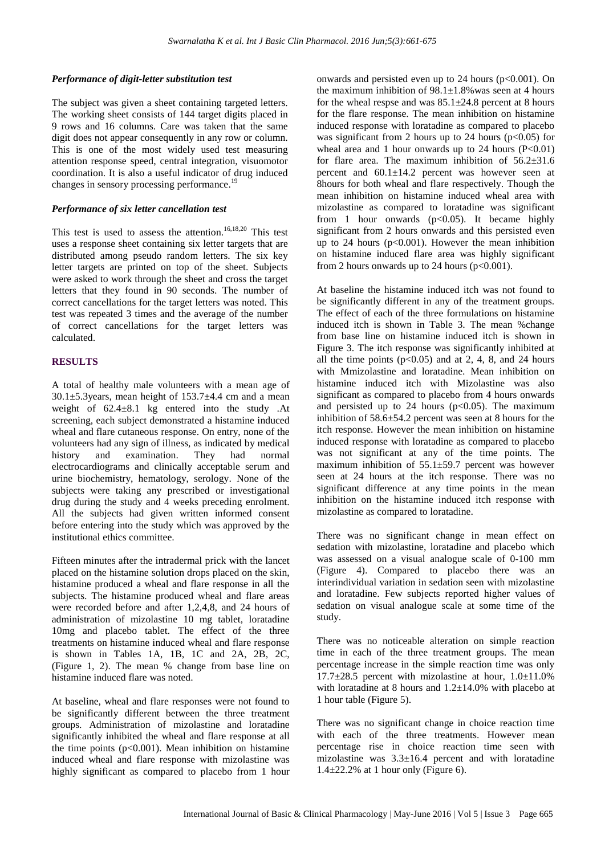## *Performance of digit-letter substitution test*

The subject was given a sheet containing targeted letters. The working sheet consists of 144 target digits placed in 9 rows and 16 columns. Care was taken that the same digit does not appear consequently in any row or column. This is one of the most widely used test measuring attention response speed, central integration, visuomotor coordination. It is also a useful indicator of drug induced changes in sensory processing performance.<sup>19</sup>

#### *Performance of six letter cancellation test*

This test is used to assess the attention. 16,18,20 This test uses a response sheet containing six letter targets that are distributed among pseudo random letters. The six key letter targets are printed on top of the sheet. Subjects were asked to work through the sheet and cross the target letters that they found in 90 seconds. The number of correct cancellations for the target letters was noted. This test was repeated 3 times and the average of the number of correct cancellations for the target letters was calculated.

## **RESULTS**

A total of healthy male volunteers with a mean age of  $30.1\pm5.3$ years, mean height of  $153.7\pm4.4$  cm and a mean weight of 62.4±8.1 kg entered into the study .At screening, each subject demonstrated a histamine induced wheal and flare cutaneous response. On entry, none of the volunteers had any sign of illness, as indicated by medical history and examination. They had normal electrocardiograms and clinically acceptable serum and urine biochemistry, hematology, serology. None of the subjects were taking any prescribed or investigational drug during the study and 4 weeks preceding enrolment. All the subjects had given written informed consent before entering into the study which was approved by the institutional ethics committee.

Fifteen minutes after the intradermal prick with the lancet placed on the histamine solution drops placed on the skin, histamine produced a wheal and flare response in all the subjects. The histamine produced wheal and flare areas were recorded before and after 1,2,4,8, and 24 hours of administration of mizolastine 10 mg tablet, loratadine 10mg and placebo tablet. The effect of the three treatments on histamine induced wheal and flare response is shown in Tables 1A, 1B, 1C and 2A, 2B, 2C, (Figure 1, 2). The mean % change from base line on histamine induced flare was noted.

At baseline, wheal and flare responses were not found to be significantly different between the three treatment groups. Administration of mizolastine and loratadine significantly inhibited the wheal and flare response at all the time points  $(p<0.001)$ . Mean inhibition on histamine induced wheal and flare response with mizolastine was highly significant as compared to placebo from 1 hour onwards and persisted even up to  $24$  hours ( $p<0.001$ ). On the maximum inhibition of  $98.1 \pm 1.8$ % was seen at 4 hours for the wheal respse and was  $85.1 \pm 24.8$  percent at 8 hours for the flare response. The mean inhibition on histamine induced response with loratadine as compared to placebo was significant from 2 hours up to 24 hours ( $p<0.05$ ) for wheal area and 1 hour onwards up to 24 hours  $(P<0.01)$ for flare area. The maximum inhibition of  $56.2 \pm 31.6$ percent and 60.1±14.2 percent was however seen at 8hours for both wheal and flare respectively. Though the mean inhibition on histamine induced wheal area with mizolastine as compared to loratadine was significant from 1 hour onwards  $(p<0.05)$ . It became highly significant from 2 hours onwards and this persisted even up to 24 hours  $(p<0.001)$ . However the mean inhibition on histamine induced flare area was highly significant from 2 hours onwards up to 24 hours ( $p<0.001$ ).

At baseline the histamine induced itch was not found to be significantly different in any of the treatment groups. The effect of each of the three formulations on histamine induced itch is shown in Table 3. The mean %change from base line on histamine induced itch is shown in Figure 3. The itch response was significantly inhibited at all the time points  $(p<0.05)$  and at 2, 4, 8, and 24 hours with Mmizolastine and loratadine. Mean inhibition on histamine induced itch with Mizolastine was also significant as compared to placebo from 4 hours onwards and persisted up to 24 hours  $(p<0.05)$ . The maximum inhibition of 58.6±54.2 percent was seen at 8 hours for the itch response. However the mean inhibition on histamine induced response with loratadine as compared to placebo was not significant at any of the time points. The maximum inhibition of  $55.1 \pm 59.7$  percent was however seen at 24 hours at the itch response. There was no significant difference at any time points in the mean inhibition on the histamine induced itch response with mizolastine as compared to loratadine.

There was no significant change in mean effect on sedation with mizolastine, loratadine and placebo which was assessed on a visual analogue scale of 0-100 mm (Figure 4). Compared to placebo there was an interindividual variation in sedation seen with mizolastine and loratadine. Few subjects reported higher values of sedation on visual analogue scale at some time of the study.

There was no noticeable alteration on simple reaction time in each of the three treatment groups. The mean percentage increase in the simple reaction time was only  $17.7\pm28.5$  percent with mizolastine at hour,  $1.0\pm11.0\%$ with loratadine at 8 hours and  $1.2\pm14.0\%$  with placebo at 1 hour table (Figure 5).

There was no significant change in choice reaction time with each of the three treatments. However mean percentage rise in choice reaction time seen with mizolastine was 3.3±16.4 percent and with loratadine  $1.4\pm22.2\%$  at 1 hour only (Figure 6).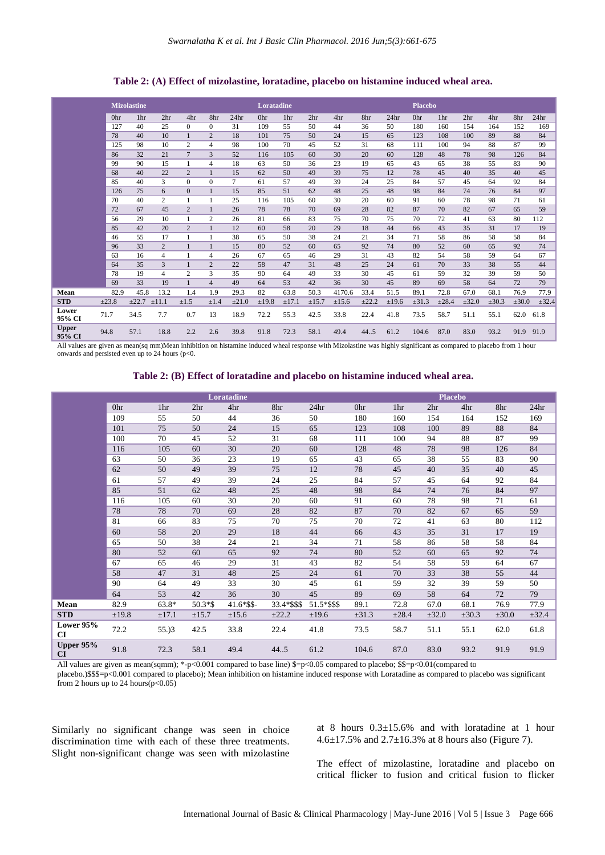|                        |       | <b>Mizolastine</b> |                 |                |                |                  | Loratadine |                 |                 |            |            |                  | <b>Placebo</b> |            |                 |            |            |                  |
|------------------------|-------|--------------------|-----------------|----------------|----------------|------------------|------------|-----------------|-----------------|------------|------------|------------------|----------------|------------|-----------------|------------|------------|------------------|
|                        | 0hr   | 1 <sub>hr</sub>    | 2 <sup>hr</sup> | 4hr            | 8hr            | 24 <sub>hr</sub> | 0hr        | 1 <sub>hr</sub> | 2 <sub>hr</sub> | 4hr        | 8hr        | 24 <sub>hr</sub> | 0hr            | 1hr        | 2 <sub>hr</sub> | 4hr        | 8hr        | 24 <sub>hr</sub> |
|                        | 127   | 40                 | 25              | $\Omega$       | $\Omega$       | 31               | 109        | 55              | 50              | 44         | 36         | 50               | 180            | 160        | 154             | 164        | 152        | 169              |
|                        | 78    | 40                 | 10              | $\mathbf{1}$   | 2              | 18               | 101        | 75              | 50              | 24         | 15         | 65               | 123            | 108        | 100             | 89         | 88         | 84               |
|                        | 125   | 98                 | 10              | $\overline{2}$ | $\overline{4}$ | 98               | 100        | 70              | 45              | 52         | 31         | 68               | 111            | 100        | 94              | 88         | 87         | 99               |
|                        | 86    | 32                 | 21              | $\overline{7}$ | 3              | 52               | 116        | 105             | 60              | 30         | 20         | 60               | 128            | 48         | 78              | 98         | 126        | 84               |
|                        | 99    | 90                 | 15              | 1              | $\overline{4}$ | 18               | 63         | 50              | 36              | 23         | 19         | 65               | 43             | 65         | 38              | 55         | 83         | 90               |
|                        | 68    | 40                 | 22              | $\overline{2}$ | $\mathbf{1}$   | 15               | 62         | 50              | 49              | 39         | 75         | 12               | 78             | 45         | 40              | 35         | 40         | 45               |
|                        | 85    | 40                 | 3               | $\Omega$       | $\Omega$       | 7                | 61         | 57              | 49              | 39         | 24         | 25               | 84             | 57         | 45              | 64         | 92         | 84               |
|                        | 126   | 75                 | 6               | $\overline{0}$ | $\mathbf{1}$   | 15               | 85         | 51              | 62              | 48         | 25         | 48               | 98             | 84         | 74              | 76         | 84         | 97               |
|                        | 70    | 40                 | $\overline{c}$  |                | 1              | 25               | 116        | 105             | 60              | 30         | 20         | 60               | 91             | 60         | 78              | 98         | 71         | 61               |
|                        | 72    | 67                 | 45              | $\overline{2}$ |                | 26               | 78         | 78              | 70              | 69         | 28         | 82               | 87             | 70         | 82              | 67         | 65         | 59               |
|                        | 56    | 29                 | 10              |                | 2              | 26               | 81         | 66              | 83              | 75         | 70         | 75               | 70             | 72         | 41              | 63         | 80         | 112              |
|                        | 85    | 42                 | 20              | $\overline{2}$ | $\mathbf{1}$   | 12               | 60         | 58              | 20              | 29         | 18         | 44               | 66             | 43         | 35              | 31         | 17         | 19               |
|                        | 46    | 55                 | 17              | $\mathbf{1}$   | 1              | 38               | 65         | 50              | 38              | 24         | 21         | 34               | 71             | 58         | 86              | 58         | 58         | 84               |
|                        | 96    | 33                 | 2               |                | $\mathbf{1}$   | 15               | 80         | 52              | 60              | 65         | 92         | 74               | 80             | 52         | 60              | 65         | 92         | 74               |
|                        | 63    | 16                 | $\overline{4}$  | $\mathbf{1}$   | $\overline{4}$ | 26               | 67         | 65              | 46              | 29         | 31         | 43               | 82             | 54         | 58              | 59         | 64         | 67               |
|                        | 64    | 35                 | 3               |                | $\overline{2}$ | 22               | 58         | 47              | 31              | 48         | 25         | 24               | 61             | 70         | 33              | 38         | 55         | 44               |
|                        | 78    | 19                 | $\overline{4}$  | 2              | 3              | 35               | 90         | 64              | 49              | 33         | 30         | 45               | 61             | 59         | 32              | 39         | 59         | 50               |
|                        | 69    | 33                 | 19              |                | $\overline{4}$ | 49               | 64         | 53              | 42              | 36         | 30         | 45               | 89             | 69         | 58              | 64         | 72         | 79               |
| Mean                   | 82.9  | 45.8               | 13.2            | 1.4            | 1.9            | 29.3             | 82         | 63.8            | 50.3            | 4170.6     | 33.4       | 51.5             | 89.1           | 72.8       | 67.0            | 68.1       | 76.9       | 77.9             |
| <b>STD</b>             | ±23.8 | ±22.7              | $\pm 11.1$      | $\pm 1.5$      | $\pm 1.4$      | $\pm 21.0$       | $\pm 19.8$ | $\pm$ 17.1      | $\pm 15.7$      | $\pm 15.6$ | $\pm 22.2$ | $\pm 19.6$       | $\pm 31.3$     | $\pm 28.4$ | $\pm 32.0$      | $\pm 30.3$ | $\pm 30.0$ | $\pm 32.4$       |
| Lower<br>95% CI        | 71.7  | 34.5               | 7.7             | 0.7            | 13             | 18.9             | 72.2       | 55.3            | 42.5            | 33.8       | 22.4       | 41.8             | 73.5           | 58.7       | 51.1            | 55.1       | 62.0       | 61.8             |
| <b>Upper</b><br>95% CI | 94.8  | 57.1               | 18.8            | 2.2            | 2.6            | 39.8             | 91.8       | 72.3            | 58.1            | 49.4       | 44.5       | 61.2             | 104.6          | 87.0       | 83.0            | 93.2       | 91.9       | 91.9             |

**Table 2: (A) Effect of mizolastine, loratadine, placebo on histamine induced wheal area.**

All values are given as mean(sq mm)Mean inhibition on histamine induced wheal response with Mizolastine was highly significant as compared to placebo from 1 hour onwards and persisted even up to 24 hours (p<0.

**Table 2: (B) Effect of loratadine and placebo on histamine induced wheal area.**

|                        |       |                 |                 | Loratadine    |             |                  |            |                 | <b>Placebo</b>  |            |            |                  |
|------------------------|-------|-----------------|-----------------|---------------|-------------|------------------|------------|-----------------|-----------------|------------|------------|------------------|
|                        | 0hr   | 1 <sup>hr</sup> | 2 <sub>hr</sub> | 4hr           | 8hr         | 24 <sub>hr</sub> | 0hr        | 1 <sub>hr</sub> | 2 <sub>hr</sub> | 4hr        | 8hr        | 24 <sub>hr</sub> |
|                        | 109   | 55              | 50              | 44            | 36          | 50               | 180        | 160             | 154             | 164        | 152        | 169              |
|                        | 101   | 75              | 50              | 24            | 15          | 65               | 123        | 108             | 100             | 89         | 88         | 84               |
|                        | 100   | 70              | 45              | 52            | 31          | 68               | 111        | 100             | 94              | 88         | 87         | 99               |
|                        | 116   | 105             | 60              | 30            | 20          | 60               | 128        | 48              | 78              | 98         | 126        | 84               |
|                        | 63    | 50              | 36              | 23            | 19          | 65               | 43         | 65              | 38              | 55         | 83         | 90               |
|                        | 62    | 50              | 49              | 39            | 75          | 12               | 78         | 45              | 40              | 35         | 40         | 45               |
|                        | 61    | 57              | 49              | 39            | 24          | 25               | 84         | 57              | 45              | 64         | 92         | 84               |
|                        | 85    | 51              | 62              | 48            | 25          | 48               | 98         | 84              | 74              | 76         | 84         | 97               |
|                        | 116   | 105             | 60              | 30            | 20          | 60               | 91         | 60              | 78              | 98         | 71         | 61               |
|                        | 78    | 78              | 70              | 69            | 28          | 82               | 87         | 70              | 82              | 67         | 65         | 59               |
|                        | 81    | 66              | 83              | 75            | 70          | 75               | 70         | 72              | 41              | 63         | 80         | 112              |
|                        | 60    | 58              | 20              | 29            | 18          | 44               | 66         | 43              | 35              | 31         | 17         | 19               |
|                        | 65    | 50              | 38              | 24            | 21          | 34               | 71         | 58              | 86              | 58         | 58         | 84               |
|                        | 80    | 52              | 60              | 65            | 92          | 74               | 80         | 52              | 60              | 65         | 92         | 74               |
|                        | 67    | 65              | 46              | 29            | 31          | 43               | 82         | 54              | 58              | 59         | 64         | 67               |
|                        | 58    | 47              | 31              | 48            | 25          | 24               | 61         | 70              | 33              | 38         | 55         | 44               |
|                        | 90    | 64              | 49              | 33            | 30          | 45               | 61         | 59              | 32              | 39         | 59         | 50               |
|                        | 64    | 53              | 42              | 36            | 30          | 45               | 89         | 69              | 58              | 64         | 72         | 79               |
| Mean                   | 82.9  | 63.8*           | 50.3*\$         | $41.6*$ \$\$- | 33.4*\$\$\$ | 51.5*\$\$\$      | 89.1       | 72.8            | 67.0            | 68.1       | 76.9       | 77.9             |
| <b>STD</b>             | ±19.8 | $\pm 17.1$      | $\pm 15.7$      | ±15.6         | $\pm 22.2$  | ±19.6            | $\pm 31.3$ | $\pm 28.4$      | $\pm 32.0$      | $\pm 30.3$ | $\pm 30.0$ | $\pm 32.4$       |
| Lower 95%<br><b>CI</b> | 72.2  | 55.33           | 42.5            | 33.8          | 22.4        | 41.8             | 73.5       | 58.7            | 51.1            | 55.1       | 62.0       | 61.8             |
| Upper 95%<br><b>CI</b> | 91.8  | 72.3            | 58.1            | 49.4          | 44.5        | 61.2             | 104.6      | 87.0            | 83.0            | 93.2       | 91.9       | 91.9             |

All values are given as mean(sqmm); \*-p<0.001 compared to base line) \$=p<0.05 compared to placebo; \$\$=p<0.01(compared to

placebo.)\$\$\$=p<0.001 compared to placebo); Mean inhibition on histamine induced response with Loratadine as compared to placebo was significant from 2 hours up to 24 hours $(p<0.05)$ 

Similarly no significant change was seen in choice discrimination time with each of these three treatments. Slight non-significant change was seen with mizolastine

at 8 hours 0.3±15.6% and with loratadine at 1 hour 4.6 $\pm$ 17.5% and 2.7 $\pm$ 16.3% at 8 hours also (Figure 7).

The effect of mizolastine, loratadine and placebo on critical flicker to fusion and critical fusion to flicker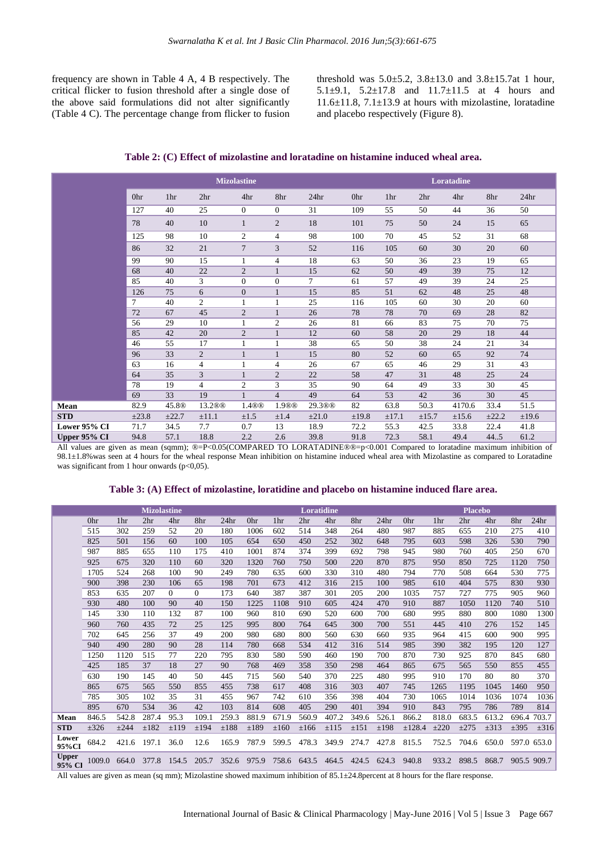frequency are shown in Table 4 A, 4 B respectively. The critical flicker to fusion threshold after a single dose of the above said formulations did not alter significantly (Table 4 C). The percentage change from flicker to fusion threshold was  $5.0 \pm 5.2$ ,  $3.8 \pm 13.0$  and  $3.8 \pm 15.7$  at 1 hour, 5.1±9.1, 5.2±17.8 and 11.7±11.5 at 4 hours and  $11.6\pm11.8$ ,  $7.1\pm13.9$  at hours with mizolastine, loratadine and placebo respectively (Figure 8).

**Table 2: (C) Effect of mizolastine and loratadine on histamine induced wheal area.**

|              |            |                   | <b>Mizolastine</b> |                |                |                  |       |            |                 | Loratadine |       |                  |
|--------------|------------|-------------------|--------------------|----------------|----------------|------------------|-------|------------|-----------------|------------|-------|------------------|
|              | 0hr        | 1hr               | 2 <sub>hr</sub>    | 4hr            | 8hr            | 24 <sub>hr</sub> | 0hr   | 1hr        | 2 <sup>hr</sup> | 4hr        | 8hr   | 24 <sub>hr</sub> |
|              | 127        | 40                | 25                 | $\overline{0}$ | $\overline{0}$ | 31               | 109   | 55         | 50              | 44         | 36    | 50               |
|              | 78         | 40                | 10                 | $\mathbf{1}$   | $\overline{2}$ | 18               | 101   | 75         | 50              | 24         | 15    | 65               |
|              | 125        | 98                | 10                 | 2              | $\overline{4}$ | 98               | 100   | 70         | 45              | 52         | 31    | 68               |
|              | 86         | 32                | 21                 | $\overline{7}$ | 3              | 52               | 116   | 105        | 60              | 30         | 20    | 60               |
|              | 99         | 90                | 15                 | 1              | $\overline{4}$ | 18               | 63    | 50         | 36              | 23         | 19    | 65               |
|              | 68         | 40                | 22                 | $\overline{2}$ |                | 15               | 62    | 50         | 49              | 39         | 75    | 12               |
|              | 85         | 40                | 3                  | $\overline{0}$ | $\Omega$       | $\tau$           | 61    | 57         | 49              | 39         | 24    | 25               |
|              | 126        | 75                | 6                  | $\mathbf{0}$   | $\mathbf{1}$   | 15               | 85    | 51         | 62              | 48         | 25    | 48               |
|              | $\tau$     | 40                | $\overline{2}$     | 1              | 1              | 25               | 116   | 105        | 60              | 30         | 20    | 60               |
|              | 72         | 67                | 45                 | $\mathbf{2}$   |                | 26               | 78    | 78         | 70              | 69         | 28    | 82               |
|              | 56         | 29                | 10                 | 1              | 2              | 26               | 81    | 66         | 83              | 75         | 70    | 75               |
|              | 85         | 42                | 20                 | $\mathfrak{2}$ | $\mathbf{1}$   | 12               | 60    | 58         | 20              | 29         | 18    | 44               |
|              | 46         | 55                | 17                 | 1              |                | 38               | 65    | 50         | 38              | 24         | 21    | 34               |
|              | 96         | 33                | 2                  | $\mathbf{1}$   | $\mathbf{1}$   | 15               | 80    | 52         | 60              | 65         | 92    | 74               |
|              | 63         | 16                | $\overline{4}$     | 1              | $\overline{4}$ | 26               | 67    | 65         | 46              | 29         | 31    | 43               |
|              | 64         | 35                | 3                  | $\mathbf{1}$   | $\overline{2}$ | 22               | 58    | 47         | 31              | 48         | 25    | 24               |
|              | 78         | 19                | $\overline{4}$     | $\mathfrak{2}$ | 3              | 35               | 90    | 64         | 49              | 33         | 30    | 45               |
|              | 69         | 33                | 19                 | $\mathbf{1}$   | $\overline{4}$ | 49               | 64    | 53         | 42              | 36         | 30    | 45               |
| Mean         | 82.9       | 45.8 <sup>®</sup> | 13.2 <sup>®</sup>  | 1.4®®          | 1.9®®          | 29.3®®           | 82    | 63.8       | 50.3            | 4170.6     | 33.4  | 51.5             |
| <b>STD</b>   | $\pm 23.8$ | $\pm 22.7$        | $\pm 11.1$         | $\pm 1.5$      | $\pm 1.4$      | $\pm 21.0$       | ±19.8 | $\pm 17.1$ | $\pm 15.7$      | $\pm 15.6$ | ±22.2 | ±19.6            |
| Lower 95% CI | 71.7       | 34.5              | 7.7                | 0.7            | 13             | 18.9             | 72.2  | 55.3       | 42.5            | 33.8       | 22.4  | 41.8             |
| Upper 95% CI | 94.8       | 57.1              | 18.8               | 2.2            | 2.6            | 39.8             | 91.8  | 72.3       | 58.1            | 49.4       | 44.5  | 61.2             |

All values are given as mean (sqmm); ®=P<0.05(COMPARED TO LORATADINE®®=p<0.001 Compared to loratadine maximum inhibition of 98.1±1.8%was seen at 4 hours for the wheal response Mean inhibition on histamine induced wheal area with Mizolastine as compared to Loratadine was significant from 1 hour onwards (p<0,05).

#### **Table 3: (A) Effect of mizolastine, loratidine and placebo on histamine induced flare area.**

|                        |           |       | <b>Mizolastine</b> |          |          |                  |       |           | <b>Loratidine</b> |           |       |                  |        |           | <b>Placebo</b>  |           |           |                  |
|------------------------|-----------|-------|--------------------|----------|----------|------------------|-------|-----------|-------------------|-----------|-------|------------------|--------|-----------|-----------------|-----------|-----------|------------------|
|                        | 0hr       | 1hr   | 2 <sub>hr</sub>    | 4hr      | 8hr      | 24 <sub>hr</sub> | 0hr   | 1hr       | 2 <sup>hr</sup>   | 4hr       | 8hr   | 24 <sub>hr</sub> | 0hr    | 1hr       | 2 <sup>hr</sup> | 4hr       | 8hr       | 24 <sub>hr</sub> |
|                        | 515       | 302   | 259                | 52       | 20       | 180              | 1006  | 602       | 514               | 348       | 264   | 480              | 987    | 885       | 655             | 210       | 275       | 410              |
|                        | 825       | 501   | 156                | 60       | 100      | 105              | 654   | 650       | 450               | 252       | 302   | 648              | 795    | 603       | 598             | 326       | 530       | 790              |
|                        | 987       | 885   | 655                | 110      | 175      | 410              | 1001  | 874       | 374               | 399       | 692   | 798              | 945    | 980       | 760             | 405       | 250       | 670              |
|                        | 925       | 675   | 320                | 110      | 60       | 320              | 1320  | 760       | 750               | 500       | 220   | 870              | 875    | 950       | 850             | 725       | 1120      | 750              |
|                        | 1705      | 524   | 268                | 100      | 90       | 249              | 780   | 635       | 600               | 330       | 310   | 480              | 794    | 770       | 508             | 664       | 530       | 775              |
|                        | 900       | 398   | 230                | 106      | 65       | 198              | 701   | 673       | 412               | 316       | 215   | 100              | 985    | 610       | 404             | 575       | 830       | 930              |
|                        | 853       | 635   | 207                | $\Omega$ | $\Omega$ | 173              | 640   | 387       | 387               | 301       | 205   | 200              | 1035   | 757       | 727             | 775       | 905       | 960              |
|                        | 930       | 480   | 100                | 90       | 40       | 150              | 1225  | 1108      | 910               | 605       | 424   | 470              | 910    | 887       | 1050            | 1120      | 740       | 510              |
|                        | 145       | 330   | 110                | 132      | 87       | 100              | 960   | 810       | 690               | 520       | 600   | 700              | 680    | 995       | 880             | 800       | 1080      | 1300             |
|                        | 960       | 760   | 435                | 72       | 25       | 125              | 995   | 800       | 764               | 645       | 300   | 700              | 551    | 445       | 410             | 276       | 152       | 145              |
|                        | 702       | 645   | 256                | 37       | 49       | 200              | 980   | 680       | 800               | 560       | 630   | 660              | 935    | 964       | 415             | 600       | 900       | 995              |
|                        | 940       | 490   | 280                | 90       | 28       | 114              | 780   | 668       | 534               | 412       | 316   | 514              | 985    | 390       | 382             | 195       | 120       | 127              |
|                        | 1250      | 1120  | 515                | 77       | 220      | 795              | 830   | 580       | 590               | 460       | 190   | 700              | 870    | 730       | 925             | 870       | 845       | 680              |
|                        | 425       | 185   | 37                 | 18       | 27       | 90               | 768   | 469       | 358               | 350       | 298   | 464              | 865    | 675       | 565             | 550       | 855       | 455              |
|                        | 630       | 190   | 145                | 40       | 50       | 445              | 715   | 560       | 540               | 370       | 225   | 480              | 995    | 910       | 170             | 80        | 80        | 370              |
|                        | 865       | 675   | 565                | 550      | 855      | 455              | 738   | 617       | 408               | 316       | 303   | 407              | 745    | 1265      | 1195            | 1045      | 1460      | 950              |
|                        | 785       | 305   | 102                | 35       | 31       | 455              | 967   | 742       | 610               | 356       | 398   | 404              | 730    | 1065      | 1014            | 1036      | 1074      | 1036             |
|                        | 895       | 670   | 534                | 36       | 42       | 103              | 814   | 608       | 405               | 290       | 401   | 394              | 910    | 843       | 795             | 786       | 789       | 814              |
| Mean                   | 846.5     | 542.8 | 287.4              | 95.3     | 109.1    | 259.3            | 881.9 | 671.9     | 560.9             | 407.2     | 349.6 | 526.1            | 866.2  | 818.0     | 683.5           | 613.2     | 696.4     | 703.7            |
| <b>STD</b>             | $\pm 326$ | ±244  | ±182               | ±119     | ±194     | ±188             | ±189  | $\pm 160$ | ±166              | $\pm$ 115 | ±151  | ±198             | ±128.4 | $\pm 220$ | $\pm 275$       | $\pm 313$ | $\pm 395$ | $\pm 316$        |
| Lower<br>95%CI         | 684.2     | 421.6 | 197.1              | 36.0     | 12.6     | 165.9            | 787.9 | 599.5     | 478.3             | 349.9     | 274.7 | 427.8            | 815.5  | 752.5     | 704.6           | 650.0     |           | 597.0 653.0      |
| <b>Upper</b><br>95% CI | 1009.0    | 664.0 | 377.8              | 154.5    | 205.7    | 352.6            | 975.9 | 758.6     | 643.5             | 464.5     | 424.5 | 624.3            | 940.8  | 933.2     | 898.5           | 868.7     |           | 905.5 909.7      |

All values are given as mean (sq mm); Mizolastine showed maximum inhibition of 85.1±24.8percent at 8 hours for the flare response.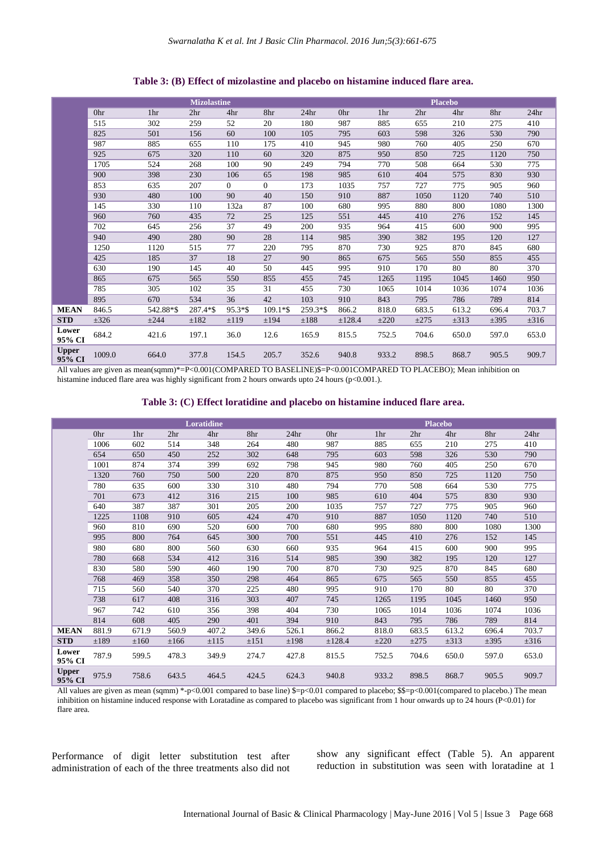**Mizolastine Placebo** 0hr 1hr 2hr 4hr 8hr 24hr 0hr 1hr 2hr 4hr 8hr 24hr 515 302 259 52 20 180 987 885 655 210 275 410 825 501 156 60 100 105 795 603 598 326 530 790 987 885 655 110 175 410 945 980 760 405 250 670 925 675 320 110 60 320 875 950 850 725 1120 750 1705 524 268 100 90 249 794 770 508 664 530 775 900 398 230 106 65 198 985 610 404 575 830 930 853 635 207 0 0 173 1035 757 727 775 905 960 930 480 100 90 40 150 910 887 1050 1120 740 510 145 330 110 132a 87 100 680 995 880 800 1080 1300 960 760 435 72 25 125 551 445 410 276 152 145 702 645 256 37 49 200 935 964 415 600 900 995 940 490 280 90 28 114 985 390 382 195 120 127 1250 1120 515 77 220 795 870 730 925 870 845 680 425 185 37 18 27 90 865 675 565 550 855 455

 190 145 40 50 445 995 910 170 80 80 370 675 565 550 855 455 745 1265 1195 1045 1460 950 305 102 35 31 455 730 1065 1014 1036 1074 1036 670 534 36 42 103 910 843 795 786 789 814 **MEAN** 846.5 542.88\*\$ 287.4\*\$ 95.3\*\$ 109.1\*\$ 259.3\*\$ 866.2 818.0 683.5 613.2 696.4 703.7 **STD** ±326 ±244 ±182 ±119 ±194 ±188 ±128.4 ±220 ±275 ±313 ±395 ±316

#### **Table 3: (B) Effect of mizolastine and placebo on histamine induced flare area.**

All values are given as mean(sqmm)\*=P<0.001(COMPARED TO BASELINE)\$=P<0.001COMPARED TO PLACEBO); Mean inhibition on histamine induced flare area was highly significant from 2 hours onwards upto 24 hours (p<0.001.).

#### **Table 3: (C) Effect loratidine and placebo on histamine induced flare area.**

**95% CI** 684.2 421.6 197.1 36.0 12.6 165.9 815.5 752.5 704.6 650.0 597.0 653.0

**95% CI** 1009.0 664.0 377.8 154.5 205.7 352.6 940.8 933.2 898.5 868.7 905.5 909.7

|                        |       |           |                 | <b>Loratidine</b> |       |                  |        |           |                 | <b>Placebo</b> |           |                  |
|------------------------|-------|-----------|-----------------|-------------------|-------|------------------|--------|-----------|-----------------|----------------|-----------|------------------|
|                        | 0hr   | 1hr       | 2 <sup>hr</sup> | 4hr               | 8hr   | 24 <sub>hr</sub> | 0hr    | 1hr       | 2 <sub>hr</sub> | 4hr            | 8hr       | 24 <sub>hr</sub> |
|                        | 1006  | 602       | 514             | 348               | 264   | 480              | 987    | 885       | 655             | 210            | 275       | 410              |
|                        | 654   | 650       | 450             | 252               | 302   | 648              | 795    | 603       | 598             | 326            | 530       | 790              |
|                        | 1001  | 874       | 374             | 399               | 692   | 798              | 945    | 980       | 760             | 405            | 250       | 670              |
|                        | 1320  | 760       | 750             | 500               | 220   | 870              | 875    | 950       | 850             | 725            | 1120      | 750              |
|                        | 780   | 635       | 600             | 330               | 310   | 480              | 794    | 770       | 508             | 664            | 530       | 775              |
|                        | 701   | 673       | 412             | 316               | 215   | 100              | 985    | 610       | 404             | 575            | 830       | 930              |
|                        | 640   | 387       | 387             | 301               | 205   | 200              | 1035   | 757       | 727             | 775            | 905       | 960              |
|                        | 1225  | 1108      | 910             | 605               | 424   | 470              | 910    | 887       | 1050            | 1120           | 740       | 510              |
|                        | 960   | 810       | 690             | 520               | 600   | 700              | 680    | 995       | 880             | 800            | 1080      | 1300             |
|                        | 995   | 800       | 764             | 645               | 300   | 700              | 551    | 445       | 410             | 276            | 152       | 145              |
|                        | 980   | 680       | 800             | 560               | 630   | 660              | 935    | 964       | 415             | 600            | 900       | 995              |
|                        | 780   | 668       | 534             | 412               | 316   | 514              | 985    | 390       | 382             | 195            | 120       | 127              |
|                        | 830   | 580       | 590             | 460               | 190   | 700              | 870    | 730       | 925             | 870            | 845       | 680              |
|                        | 768   | 469       | 358             | 350               | 298   | 464              | 865    | 675       | 565             | 550            | 855       | 455              |
|                        | 715   | 560       | 540             | 370               | 225   | 480              | 995    | 910       | 170             | 80             | 80        | 370              |
|                        | 738   | 617       | 408             | 316               | 303   | 407              | 745    | 1265      | 1195            | 1045           | 1460      | 950              |
|                        | 967   | 742       | 610             | 356               | 398   | 404              | 730    | 1065      | 1014            | 1036           | 1074      | 1036             |
|                        | 814   | 608       | 405             | 290               | 401   | 394              | 910    | 843       | 795             | 786            | 789       | 814              |
| <b>MEAN</b>            | 881.9 | 671.9     | 560.9           | 407.2             | 349.6 | 526.1            | 866.2  | 818.0     | 683.5           | 613.2          | 696.4     | 703.7            |
| <b>STD</b>             | ±189  | $\pm 160$ | ±166            | ±115              | ±151  | ±198             | ±128.4 | $\pm 220$ | $\pm 275$       | $\pm 313$      | $\pm$ 395 | $\pm 316$        |
| Lower<br>95% CI        | 787.9 | 599.5     | 478.3           | 349.9             | 274.7 | 427.8            | 815.5  | 752.5     | 704.6           | 650.0          | 597.0     | 653.0            |
| <b>Upper</b><br>95% CI | 975.9 | 758.6     | 643.5           | 464.5             | 424.5 | 624.3            | 940.8  | 933.2     | 898.5           | 868.7          | 905.5     | 909.7            |

All values are given as mean (sqmm) \*-p<0.001 compared to base line) \$=p<0.01 compared to placebo; \$\$=p<0.001(compared to placebo.) The mean inhibition on histamine induced response with Loratadine as compared to placebo was significant from 1 hour onwards up to 24 hours (P<0.01) for flare area.

Performance of digit letter substitution test after administration of each of the three treatments also did not

Lower<br>95% CI

**Upper**

show any significant effect (Table 5). An apparent reduction in substitution was seen with loratadine at 1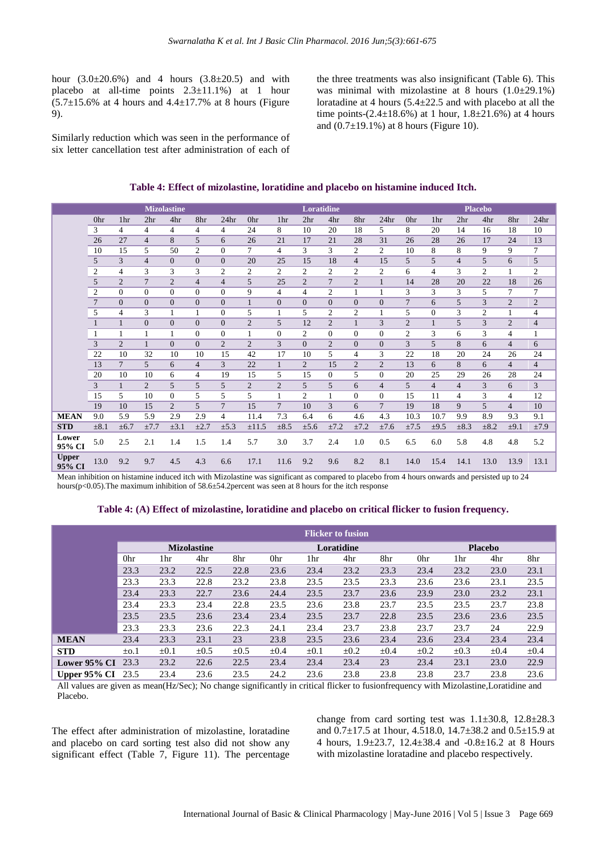hour  $(3.0 \pm 20.6\%)$  and 4 hours  $(3.8 \pm 20.5)$  and with placebo at all-time points  $2.3 \pm 11.1\%$  at 1 hour  $(5.7\pm15.6\%$  at 4 hours and  $4.4\pm17.7\%$  at 8 hours (Figure 9).

Similarly reduction which was seen in the performance of six letter cancellation test after administration of each of the three treatments was also insignificant (Table 6). This was minimal with mizolastine at 8 hours  $(1.0\pm 29.1\%)$ loratadine at 4 hours (5.4±22.5 and with placebo at all the time points- $(2.4 \pm 18.6\%)$  at 1 hour,  $1.8 \pm 21.6\%)$  at 4 hours and  $(0.7 \pm 19.1\%)$  at 8 hours (Figure 10).

| Table 4: Effect of mizolastine, loratidine and placebo on histamine induced Itch. |
|-----------------------------------------------------------------------------------|
|-----------------------------------------------------------------------------------|

|                        |                |                 |                 | <b>Mizolastine</b> |                |                  |                |                 | Loratidine      |                |                |                  |                 |                 |                 | <b>Placebo</b> |                |                  |
|------------------------|----------------|-----------------|-----------------|--------------------|----------------|------------------|----------------|-----------------|-----------------|----------------|----------------|------------------|-----------------|-----------------|-----------------|----------------|----------------|------------------|
|                        | 0hr            | 1 <sub>hr</sub> | 2 <sup>hr</sup> | 4hr                | 8hr            | 24 <sub>hr</sub> | 0hr            | 1 <sub>hr</sub> | 2 <sub>hr</sub> | 4hr            | 8hr            | 24 <sub>hr</sub> | 0hr             | 1 <sub>hr</sub> | 2 <sup>hr</sup> | 4hr            | 8hr            | 24 <sub>hr</sub> |
|                        | 3              | 4               | 4               | $\overline{4}$     | 4              | $\overline{4}$   | 24             | 8               | 10              | 20             | 18             | 5                | 8               | 20              | 14              | 16             | 18             | 10               |
|                        | 26             | 27              | $\overline{4}$  | 8                  | 5              | 6                | 26             | 21              | 17              | 21             | 28             | 31               | 26              | 28              | 26              | 17             | 24             | 13               |
|                        | 10             | 15              | 5               | 50                 | $\overline{c}$ | $\Omega$         | 7              | $\overline{4}$  | 3               | 3              | $\mathfrak{2}$ | $\overline{2}$   | 10              | 8               | 8               | 9              | 9              | 7                |
|                        | 5              | 3               | 4               | $\overline{0}$     | $\Omega$       | $\Omega$         | 20             | 25              | 15              | 18             | $\overline{4}$ | 15               | 5               | 5               | 4               | 5              | 6              | 5                |
|                        | $\overline{2}$ | $\overline{4}$  | 3               | 3                  | 3              | $\overline{2}$   | $\overline{c}$ | 2               | 2               | $\overline{c}$ | $\mathfrak{2}$ | 2                | 6               | 4               | 3               | $\overline{c}$ |                | 2                |
|                        | 5              | $\overline{2}$  | $\overline{7}$  | $\overline{2}$     | $\overline{4}$ | $\overline{4}$   | 5              | 25              | $\overline{c}$  | $\overline{7}$ | $\overline{2}$ |                  | 14              | 28              | 20              | 22             | 18             | 26               |
|                        | $\overline{2}$ | $\Omega$        | $\Omega$        | $\Omega$           | $\Omega$       | $\Omega$         | 9              | $\overline{4}$  | $\overline{4}$  | $\overline{c}$ | 1              | $\mathbf{1}$     | 3               | 3               | 3               | 5              | 7              | 7                |
|                        | $\overline{7}$ | $\overline{0}$  | $\overline{0}$  | $\Omega$           | $\Omega$       | $\Omega$         | $\mathbf{1}$   | $\Omega$        | $\Omega$        | $\Omega$       | $\Omega$       | $\Omega$         | $7\phantom{.0}$ | 6               | 5               | 3              | $\overline{2}$ | $\mathfrak{2}$   |
|                        | 5              | 4               | 3               |                    | 1              | $\Omega$         | 5              |                 | 5               | $\overline{c}$ | $\overline{c}$ |                  | 5               | $\Omega$        | 3               | $\overline{c}$ |                | $\overline{4}$   |
|                        |                | $\mathbf{1}$    | $\overline{0}$  | $\Omega$           | $\Omega$       | $\Omega$         | $\overline{2}$ | 5               | 12              | $\overline{2}$ |                | 3                | $\overline{2}$  | $\mathbf{1}$    | 5               | 3              | $\overline{2}$ | $\overline{4}$   |
|                        | $\mathbf{1}$   | 1               | 1               | 1                  | $\Omega$       | $\Omega$         | 1              | $\Omega$        | $\overline{c}$  | $\Omega$       | $\Omega$       | $\Omega$         | $\overline{c}$  | 3               | 6               | 3              | 4              | 1                |
|                        | 3              | $\overline{2}$  |                 | $\Omega$           | $\Omega$       | $\overline{c}$   | $\overline{2}$ | 3               | $\Omega$        | $\overline{2}$ | $\Omega$       | $\Omega$         | 3               | 5               | 8               | 6              | $\overline{4}$ | 6                |
|                        | 22             | 10              | 32              | 10                 | 10             | 15               | 42             | 17              | 10              | 5              | 4              | 3                | 22              | 18              | 20              | 24             | 26             | 24               |
|                        | 13             | $\tau$          | 5               | 6                  | $\overline{4}$ | 3                | 22             | $\mathbf{1}$    | $\overline{2}$  | 15             | $\overline{2}$ | $\overline{2}$   | 13              | 6               | 8               | 6              | $\overline{4}$ | $\overline{4}$   |
|                        | 20             | 10              | 10              | 6                  | 4              | 19               | 15             | 5               | 15              | $\Omega$       | 5              | $\Omega$         | 20              | 25              | 29              | 26             | 28             | 24               |
|                        | 3              | $\mathbf{1}$    | $\overline{2}$  | 5                  | 5              | 5                | $\overline{2}$ | $\overline{2}$  | 5               | 5              | 6              | 4                | 5               | $\overline{4}$  | 4               | 3              | 6              | 3                |
|                        | 15             | 5               | 10              | $\mathbf{0}$       | 5              | 5                | 5              |                 | $\overline{c}$  | 1              | $\Omega$       | $\Omega$         | 15              | 11              | 4               | 3              | 4              | 12               |
|                        | 19             | 10              | 15              | $\overline{2}$     | 5              | $\overline{7}$   | 15             | $7\phantom{.0}$ | 10              | 3              | 6              | $\tau$           | 19              | 18              | 9               | 5              | $\overline{4}$ | 10               |
| <b>MEAN</b>            | 9.0            | 5.9             | 5.9             | 2.9                | 2.9            | 4                | 11.4           | 7.3             | 6.4             | 6              | 4.6            | 4.3              | 10.3            | 10.7            | 9.9             | 8.9            | 9.3            | 9.1              |
| <b>STD</b>             | $\pm 8.1$      | $\pm 6.7$       | ±7.7            | $\pm 3.1$          | $\pm 2.7$      | $\pm 5.3$        | $\pm 11.5$     | $\pm 8.5$       | ±5.6            | ±7.2           | ±7.2           | ±7.6             | ±7.5            | $\pm 9.5$       | $\pm 8.3$       | $\pm 8.2$      | $\pm 9.1$      | ±7.9             |
| Lower<br>95% CI        | 5.0            | 2.5             | 2.1             | 1.4                | 1.5            | 1.4              | 5.7            | 3.0             | 3.7             | 2.4            | 1.0            | 0.5              | 6.5             | 6.0             | 5.8             | 4.8            | 4.8            | 5.2              |
| <b>Upper</b><br>95% CI | 13.0           | 9.2             | 9.7             | 4.5                | 4.3            | 6.6              | 17.1           | 11.6            | 9.2             | 9.6            | 8.2            | 8.1              | 14.0            | 15.4            | 14.1            | 13.0           | 13.9           | 13.1             |

Mean inhibition on histamine induced itch with Mizolastine was significant as compared to placebo from 4 hours onwards and persisted up to 24 hours(p<0.05). The maximum inhibition of 58.6±54.2 percent was seen at 8 hours for the itch response

#### **Table 4: (A) Effect of mizolastine, loratidine and placebo on critical flicker to fusion frequency.**

|                          |           |           |                    |           |           |           | <b>Flicker to fusion</b> |           |           |           |                |           |
|--------------------------|-----------|-----------|--------------------|-----------|-----------|-----------|--------------------------|-----------|-----------|-----------|----------------|-----------|
|                          |           |           | <b>Mizolastine</b> |           |           |           | Loratidine               |           |           |           | <b>Placebo</b> |           |
|                          | 0hr       | 1hr       | 4hr                | 8hr       | 0hr       | 1hr       | 4hr                      | 8hr       | 0hr       | 1hr       | 4hr            | 8hr       |
|                          | 23.3      | 23.2      | 22.5               | 22.8      | 23.6      | 23.4      | 23.2                     | 23.3      | 23.4      | 23.2      | 23.0           | 23.1      |
|                          | 23.3      | 23.3      | 22.8               | 23.2      | 23.8      | 23.5      | 23.5                     | 23.3      | 23.6      | 23.6      | 23.1           | 23.5      |
|                          | 23.4      | 23.3      | 22.7               | 23.6      | 24.4      | 23.5      | 23.7                     | 23.6      | 23.9      | 23.0      | 23.2           | 23.1      |
|                          | 23.4      | 23.3      | 23.4               | 22.8      | 23.5      | 23.6      | 23.8                     | 23.7      | 23.5      | 23.5      | 23.7           | 23.8      |
|                          | 23.5      | 23.5      | 23.6               | 23.4      | 23.4      | 23.5      | 23.7                     | 22.8      | 23.5      | 23.6      | 23.6           | 23.5      |
|                          | 23.3      | 23.3      | 23.6               | 22.3      | 24.1      | 23.4      | 23.7                     | 23.8      | 23.7      | 23.7      | 24             | 22.9      |
| <b>MEAN</b>              | 23.4      | 23.3      | 23.1               | 23        | 23.8      | 23.5      | 23.6                     | 23.4      | 23.6      | 23.4      | 23.4           | 23.4      |
| <b>STD</b>               | $\pm$ o.1 | $\pm 0.1$ | $\pm 0.5$          | $\pm 0.5$ | $\pm 0.4$ | $\pm 0.1$ | $\pm 0.2$                | $\pm 0.4$ | $\pm 0.2$ | $\pm 0.3$ | $\pm 0.4$      | $\pm 0.4$ |
| Lower 95% CI             | 23.3      | 23.2      | 22.6               | 22.5      | 23.4      | 23.4      | 23.4                     | 23        | 23.4      | 23.1      | 23.0           | 22.9      |
| <b>Upper 95% CI</b> 23.5 |           | 23.4      | 23.6               | 23.5      | 24.2      | 23.6      | 23.8                     | 23.8      | 23.8      | 23.7      | 23.8           | 23.6      |

All values are given as mean(Hz/Sec); No change significantly in critical flicker to fusionfrequency with Mizolastine,Loratidine and Placebo.

The effect after administration of mizolastine, loratadine and placebo on card sorting test also did not show any significant effect (Table 7, Figure 11). The percentage

change from card sorting test was 1.1±30.8, 12.8±28.3 and 0.7±17.5 at 1hour, 4.518.0, 14.7±38.2 and 0.5±15.9 at 4 hours, 1.9±23.7, 12.4±38.4 and -0.8±16.2 at 8 Hours with mizolastine loratadine and placebo respectively.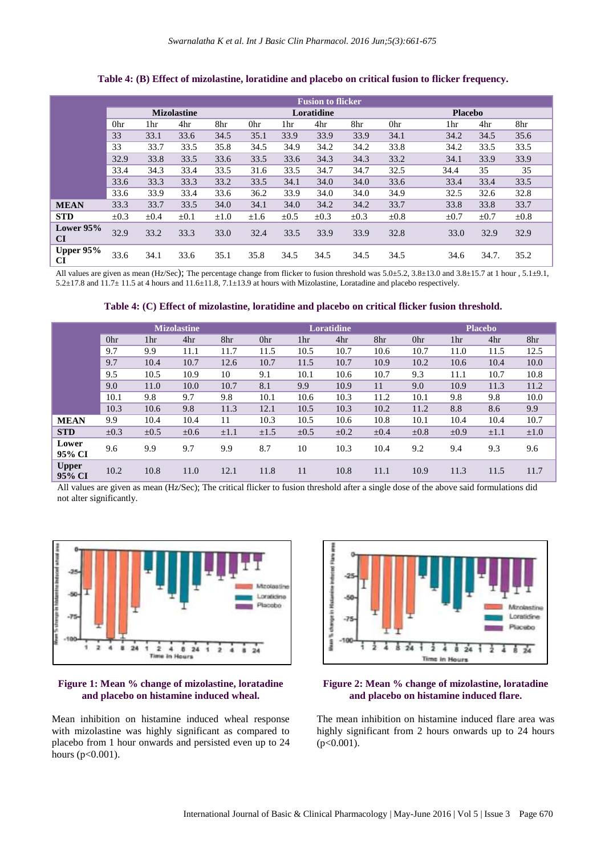|                          |           |           |                    |           |           |           | <b>Fusion to flicker</b> |           |           |                |           |           |
|--------------------------|-----------|-----------|--------------------|-----------|-----------|-----------|--------------------------|-----------|-----------|----------------|-----------|-----------|
|                          |           |           | <b>Mizolastine</b> |           |           |           | Loratidine               |           |           | <b>Placebo</b> |           |           |
|                          | 0hr       | 1hr       | 4hr                | 8hr       | 0hr       | 1hr       | 4hr                      | 8hr       | 0hr       | 1hr            | 4hr       | 8hr       |
|                          | 33        | 33.1      | 33.6               | 34.5      | 35.1      | 33.9      | 33.9                     | 33.9      | 34.1      | 34.2           | 34.5      | 35.6      |
|                          | 33        | 33.7      | 33.5               | 35.8      | 34.5      | 34.9      | 34.2                     | 34.2      | 33.8      | 34.2           | 33.5      | 33.5      |
|                          | 32.9      | 33.8      | 33.5               | 33.6      | 33.5      | 33.6      | 34.3                     | 34.3      | 33.2      | 34.1           | 33.9      | 33.9      |
|                          | 33.4      | 34.3      | 33.4               | 33.5      | 31.6      | 33.5      | 34.7                     | 34.7      | 32.5      | 34.4           | 35        | 35        |
|                          | 33.6      | 33.3      | 33.3               | 33.2      | 33.5      | 34.1      | 34.0                     | 34.0      | 33.6      | 33.4           | 33.4      | 33.5      |
|                          | 33.6      | 33.9      | 33.4               | 33.6      | 36.2      | 33.9      | 34.0                     | 34.0      | 34.9      | 32.5           | 32.6      | 32.8      |
| <b>MEAN</b>              | 33.3      | 33.7      | 33.5               | 34.0      | 34.1      | 34.0      | 34.2                     | 34.2      | 33.7      | 33.8           | 33.8      | 33.7      |
| <b>STD</b>               | $\pm 0.3$ | $\pm 0.4$ | $\pm 0.1$          | $\pm 1.0$ | $\pm 1.6$ | $\pm 0.5$ | $\pm 0.3$                | $\pm 0.3$ | $\pm 0.8$ | $\pm 0.7$      | $\pm 0.7$ | $\pm 0.8$ |
| Lower $95%$<br><b>CI</b> | 32.9      | 33.2      | 33.3               | 33.0      | 32.4      | 33.5      | 33.9                     | 33.9      | 32.8      | 33.0           | 32.9      | 32.9      |
| <b>Upper 95%</b><br>CI   | 33.6      | 34.1      | 33.6               | 35.1      | 35.8      | 34.5      | 34.5                     | 34.5      | 34.5      | 34.6           | 34.7.     | 35.2      |

## **Table 4: (B) Effect of mizolastine, loratidine and placebo on critical fusion to flicker frequency.**

All values are given as mean (Hz/Sec); The percentage change from flicker to fusion threshold was  $5.0\pm5.2$ ,  $3.8\pm13.0$  and  $3.8\pm15.7$  at 1 hour,  $5.1\pm9.1$ , 5.2±17.8 and 11.7± 11.5 at 4 hours and 11.6±11.8, 7.1±13.9 at hours with Mizolastine, Loratadine and placebo respectively.

#### **Table 4: (C) Effect of mizolastine, loratidine and placebo on critical flicker fusion threshold.**

|                        |           |           | <b>Mizolastine</b> |           |           |           | <b>Loratidine</b> |           |      |      | <b>Placebo</b> |           |
|------------------------|-----------|-----------|--------------------|-----------|-----------|-----------|-------------------|-----------|------|------|----------------|-----------|
|                        | 0hr       | 1hr       | 4hr                | 8hr       | 0hr       | 1hr       | 4hr               | 8hr       | 0hr  | 1hr  | 4hr            | 8hr       |
|                        | 9.7       | 9.9       | 11.1               | 11.7      | 11.5      | 10.5      | 10.7              | 10.6      | 10.7 | 11.0 | 11.5           | 12.5      |
|                        | 9.7       | 10.4      | 10.7               | 12.6      | 10.7      | 11.5      | 10.7              | 10.9      | 10.2 | 10.6 | 10.4           | 10.0      |
|                        | 9.5       | 10.5      | 10.9               | 10        | 9.1       | 10.1      | 10.6              | 10.7      | 9.3  | 11.1 | 10.7           | 10.8      |
|                        | 9.0       | 11.0      | 10.0               | 10.7      | 8.1       | 9.9       | 10.9              | 11        | 9.0  | 10.9 | 11.3           | 11.2      |
|                        | 10.1      | 9.8       | 9.7                | 9.8       | 10.1      | 10.6      | 10.3              | 11.2      | 10.1 | 9.8  | 9.8            | 10.0      |
|                        | 10.3      | 10.6      | 9.8                | 11.3      | 12.1      | 10.5      | 10.3              | 10.2      | 11.2 | 8.8  | 8.6            | 9.9       |
| <b>MEAN</b>            | 9.9       | 10.4      | 10.4               | 11        | 10.3      | 10.5      | 10.6              | 10.8      | 10.1 | 10.4 | 10.4           | 10.7      |
| <b>STD</b>             | $\pm 0.3$ | $\pm 0.5$ | $\pm 0.6$          | $\pm 1.1$ | $\pm 1.5$ | $\pm 0.5$ | $\pm 0.2$         | $\pm 0.4$ | ±0.8 | ±0.9 | $\pm 1.1$      | $\pm 1.0$ |
| Lower<br>95% CI        | 9.6       | 9.9       | 9.7                | 9.9       | 8.7       | 10        | 10.3              | 10.4      | 9.2  | 9.4  | 9.3            | 9.6       |
| <b>Upper</b><br>95% CI | 10.2      | 10.8      | 11.0               | 12.1      | 11.8      | 11        | 10.8              | 11.1      | 10.9 | 11.3 | 11.5           | 11.7      |

All values are given as mean (Hz/Sec); The critical flicker to fusion threshold after a single dose of the above said formulations did not alter significantly.



## **Figure 1: Mean % change of mizolastine, loratadine and placebo on histamine induced wheal.**

Mean inhibition on histamine induced wheal response with mizolastine was highly significant as compared to placebo from 1 hour onwards and persisted even up to 24 hours (p<0.001).



#### **Figure 2: Mean % change of mizolastine, loratadine and placebo on histamine induced flare.**

The mean inhibition on histamine induced flare area was highly significant from 2 hours onwards up to 24 hours  $(p<0.001)$ .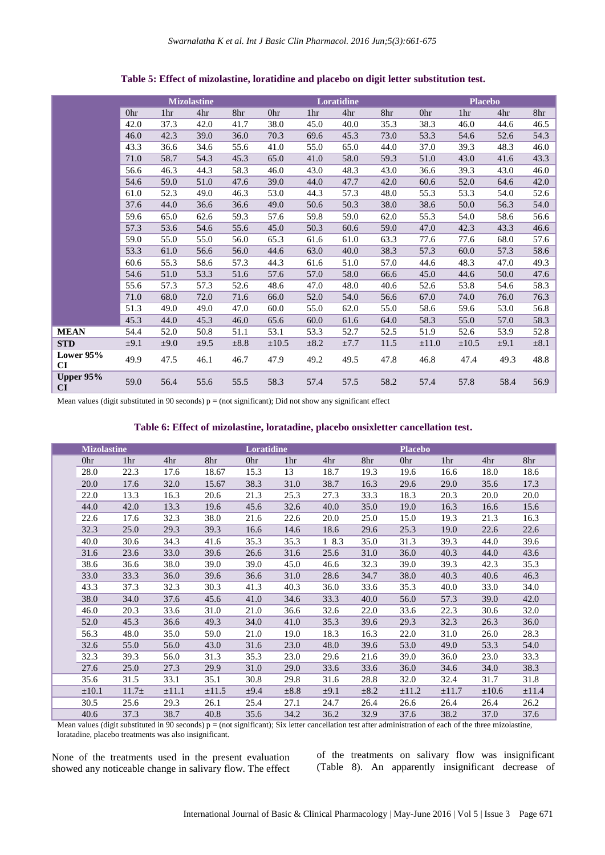|                 |           |      | <b>Mizolastine</b> |           |            |           | Loratidine |      |            | <b>Placebo</b> |           |           |
|-----------------|-----------|------|--------------------|-----------|------------|-----------|------------|------|------------|----------------|-----------|-----------|
|                 | 0hr       | 1hr  | 4hr                | 8hr       | 0hr        | 1hr       | 4hr        | 8hr  | 0hr        | 1hr            | 4hr       | 8hr       |
|                 | 42.0      | 37.3 | 42.0               | 41.7      | 38.0       | 45.0      | 40.0       | 35.3 | 38.3       | 46.0           | 44.6      | 46.5      |
|                 | 46.0      | 42.3 | 39.0               | 36.0      | 70.3       | 69.6      | 45.3       | 73.0 | 53.3       | 54.6           | 52.6      | 54.3      |
|                 | 43.3      | 36.6 | 34.6               | 55.6      | 41.0       | 55.0      | 65.0       | 44.0 | 37.0       | 39.3           | 48.3      | 46.0      |
|                 | 71.0      | 58.7 | 54.3               | 45.3      | 65.0       | 41.0      | 58.0       | 59.3 | 51.0       | 43.0           | 41.6      | 43.3      |
|                 | 56.6      | 46.3 | 44.3               | 58.3      | 46.0       | 43.0      | 48.3       | 43.0 | 36.6       | 39.3           | 43.0      | 46.0      |
|                 | 54.6      | 59.0 | 51.0               | 47.6      | 39.0       | 44.0      | 47.7       | 42.0 | 60.6       | 52.0           | 64.6      | 42.0      |
|                 | 61.0      | 52.3 | 49.0               | 46.3      | 53.0       | 44.3      | 57.3       | 48.0 | 55.3       | 53.3           | 54.0      | 52.6      |
|                 | 37.6      | 44.0 | 36.6               | 36.6      | 49.0       | 50.6      | 50.3       | 38.0 | 38.6       | 50.0           | 56.3      | 54.0      |
|                 | 59.6      | 65.0 | 62.6               | 59.3      | 57.6       | 59.8      | 59.0       | 62.0 | 55.3       | 54.0           | 58.6      | 56.6      |
|                 | 57.3      | 53.6 | 54.6               | 55.6      | 45.0       | 50.3      | 60.6       | 59.0 | 47.0       | 42.3           | 43.3      | 46.6      |
|                 | 59.0      | 55.0 | 55.0               | 56.0      | 65.3       | 61.6      | 61.0       | 63.3 | 77.6       | 77.6           | 68.0      | 57.6      |
|                 | 53.3      | 61.0 | 56.6               | 56.0      | 44.6       | 63.0      | 40.0       | 38.3 | 57.3       | 60.0           | 57.3      | 58.6      |
|                 | 60.6      | 55.3 | 58.6               | 57.3      | 44.3       | 61.6      | 51.0       | 57.0 | 44.6       | 48.3           | 47.0      | 49.3      |
|                 | 54.6      | 51.0 | 53.3               | 51.6      | 57.6       | 57.0      | 58.0       | 66.6 | 45.0       | 44.6           | 50.0      | 47.6      |
|                 | 55.6      | 57.3 | 57.3               | 52.6      | 48.6       | 47.0      | 48.0       | 40.6 | 52.6       | 53.8           | 54.6      | 58.3      |
|                 | 71.0      | 68.0 | 72.0               | 71.6      | 66.0       | 52.0      | 54.0       | 56.6 | 67.0       | 74.0           | 76.0      | 76.3      |
|                 | 51.3      | 49.0 | 49.0               | 47.0      | 60.0       | 55.0      | 62.0       | 55.0 | 58.6       | 59.6           | 53.0      | 56.8      |
|                 | 45.3      | 44.0 | 45.3               | 46.0      | 65.6       | 60.0      | 61.6       | 64.0 | 58.3       | 55.0           | 57.0      | 58.3      |
| <b>MEAN</b>     | 54.4      | 52.0 | 50.8               | 51.1      | 53.1       | 53.3      | 52.7       | 52.5 | 51.9       | 52.6           | 53.9      | 52.8      |
| <b>STD</b>      | $\pm 9.1$ | ±9.0 | ±9.5               | $\pm 8.8$ | $\pm 10.5$ | $\pm 8.2$ | ±7.7       | 11.5 | $\pm 11.0$ | $\pm 10.5$     | $\pm 9.1$ | $\pm 8.1$ |
| Lower 95%<br>CI | 49.9      | 47.5 | 46.1               | 46.7      | 47.9       | 49.2      | 49.5       | 47.8 | 46.8       | 47.4           | 49.3      | 48.8      |
| Upper 95%<br>CI | 59.0      | 56.4 | 55.6               | 55.5      | 58.3       | 57.4      | 57.5       | 58.2 | 57.4       | 57.8           | 58.4      | 56.9      |

**Table 5: Effect of mizolastine, loratidine and placebo on digit letter substitution test.**

Mean values (digit substituted in 90 seconds)  $p = (not significant)$ ; Did not show any significant effect

|  | <b>Mizolastine</b> |                 |            |       | Loratidine |                 |           |           | <b>Placebo</b> |                 |            |       |  |
|--|--------------------|-----------------|------------|-------|------------|-----------------|-----------|-----------|----------------|-----------------|------------|-------|--|
|  | 0hr                | 1 <sup>hr</sup> | 4hr        | 8hr   | 0hr        | 1 <sub>hr</sub> | 4hr       | 8hr       | 0hr            | 1 <sub>hr</sub> | 4hr        | 8hr   |  |
|  | 28.0               | 22.3            | 17.6       | 18.67 | 15.3       | 13              | 18.7      | 19.3      | 19.6           | 16.6            | 18.0       | 18.6  |  |
|  | 20.0               | 17.6            | 32.0       | 15.67 | 38.3       | 31.0            | 38.7      | 16.3      | 29.6           | 29.0            | 35.6       | 17.3  |  |
|  | 22.0               | 13.3            | 16.3       | 20.6  | 21.3       | 25.3            | 27.3      | 33.3      | 18.3           | 20.3            | 20.0       | 20.0  |  |
|  | 44.0               | 42.0            | 13.3       | 19.6  | 45.6       | 32.6            | 40.0      | 35.0      | 19.0           | 16.3            | 16.6       | 15.6  |  |
|  | 22.6               | 17.6            | 32.3       | 38.0  | 21.6       | 22.6            | 20.0      | 25.0      | 15.0           | 19.3            | 21.3       | 16.3  |  |
|  | 32.3               | 25.0            | 29.3       | 39.3  | 16.6       | 14.6            | 18.6      | 29.6      | 25.3           | 19.0            | 22.6       | 22.6  |  |
|  | 40.0               | 30.6            | 34.3       | 41.6  | 35.3       | 35.3            | 1 8.3     | 35.0      | 31.3           | 39.3            | 44.0       | 39.6  |  |
|  | 31.6               | 23.6            | 33.0       | 39.6  | 26.6       | 31.6            | 25.6      | 31.0      | 36.0           | 40.3            | 44.0       | 43.6  |  |
|  | 38.6               | 36.6            | 38.0       | 39.0  | 39.0       | 45.0            | 46.6      | 32.3      | 39.0           | 39.3            | 42.3       | 35.3  |  |
|  | 33.0               | 33.3            | 36.0       | 39.6  | 36.6       | 31.0            | 28.6      | 34.7      | 38.0           | 40.3            | 40.6       | 46.3  |  |
|  | 43.3               | 37.3            | 32.3       | 30.3  | 41.3       | 40.3            | 36.0      | 33.6      | 35.3           | 40.0            | 33.0       | 34.0  |  |
|  | 38.0               | 34.0            | 37.6       | 45.6  | 41.0       | 34.6            | 33.3      | 40.0      | 56.0           | 57.3            | 39.0       | 42.0  |  |
|  | 46.0               | 20.3            | 33.6       | 31.0  | 21.0       | 36.6            | 32.6      | 22.0      | 33.6           | 22.3            | 30.6       | 32.0  |  |
|  | 52.0               | 45.3            | 36.6       | 49.3  | 34.0       | 41.0            | 35.3      | 39.6      | 29.3           | 32.3            | 26.3       | 36.0  |  |
|  | 56.3               | 48.0            | 35.0       | 59.0  | 21.0       | 19.0            | 18.3      | 16.3      | 22.0           | 31.0            | 26.0       | 28.3  |  |
|  | 32.6               | 55.0            | 56.0       | 43.0  | 31.6       | 23.0            | 48.0      | 39.6      | 53.0           | 49.0            | 53.3       | 54.0  |  |
|  | 32.3               | 39.3            | 56.0       | 31.3  | 35.3       | 23.0            | 29.6      | 21.6      | 39.0           | 36.0            | 23.0       | 33.3  |  |
|  | 27.6               | 25.0            | 27.3       | 29.9  | 31.0       | 29.0            | 33.6      | 33.6      | 36.0           | 34.6            | 34.0       | 38.3  |  |
|  | 35.6               | 31.5            | 33.1       | 35.1  | 30.8       | 29.8            | 31.6      | 28.8      | 32.0           | 32.4            | 31.7       | 31.8  |  |
|  | $\pm 10.1$         | $11.7\pm$       | $\pm 11.1$ | ±11.5 | $\pm 9.4$  | $\pm 8.8$       | $\pm 9.1$ | $\pm 8.2$ | $\pm 11.2$     | $\pm 11.7$      | $\pm 10.6$ | ±11.4 |  |
|  | 30.5               | 25.6            | 29.3       | 26.1  | 25.4       | 27.1            | 24.7      | 26.4      | 26.6           | 26.4            | 26.4       | 26.2  |  |
|  | 40.6               | 37.3            | 38.7       | 40.8  | 35.6       | 34.2            | 36.2      | 32.9      | 37.6           | 38.2            | 37.0       | 37.6  |  |

Mean values (digit substituted in 90 seconds)  $p = (not significant)$ ; Six letter cancellation test after administration of each of the three mizolastine, loratadine, placebo treatments was also insignificant.

None of the treatments used in the present evaluation showed any noticeable change in salivary flow. The effect of the treatments on salivary flow was insignificant (Table 8). An apparently insignificant decrease of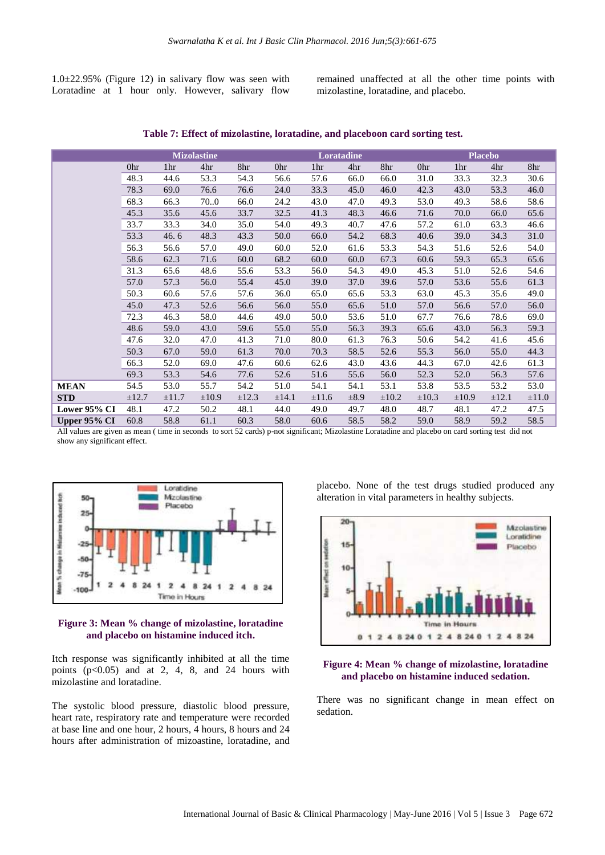1.0±22.95% (Figure 12) in salivary flow was seen with Loratadine at 1 hour only. However, salivary flow remained unaffected at all the other time points with mizolastine, loratadine, and placebo.

|              |            |                 | <b>Mizolastine</b> |            |            |            | <b>Loratadine</b> |            | <b>Placebo</b> |                 |            |            |
|--------------|------------|-----------------|--------------------|------------|------------|------------|-------------------|------------|----------------|-----------------|------------|------------|
|              | 0hr        | 1 <sub>hr</sub> | 4hr                | 8hr        | 0hr        | 1hr        | 4hr               | 8hr        | 0hr            | 1 <sup>hr</sup> | 4hr        | 8hr        |
|              | 48.3       | 44.6            | 53.3               | 54.3       | 56.6       | 57.6       | 66.0              | 66.0       | 31.0           | 33.3            | 32.3       | 30.6       |
|              | 78.3       | 69.0            | 76.6               | 76.6       | 24.0       | 33.3       | 45.0              | 46.0       | 42.3           | 43.0            | 53.3       | 46.0       |
|              | 68.3       | 66.3            | 70.0               | 66.0       | 24.2       | 43.0       | 47.0              | 49.3       | 53.0           | 49.3            | 58.6       | 58.6       |
|              | 45.3       | 35.6            | 45.6               | 33.7       | 32.5       | 41.3       | 48.3              | 46.6       | 71.6           | 70.0            | 66.0       | 65.6       |
|              | 33.7       | 33.3            | 34.0               | 35.0       | 54.0       | 49.3       | 40.7              | 47.6       | 57.2           | 61.0            | 63.3       | 46.6       |
|              | 53.3       | 46.6            | 48.3               | 43.3       | 50.0       | 66.0       | 54.2              | 68.3       | 40.6           | 39.0            | 34.3       | 31.0       |
|              | 56.3       | 56.6            | 57.0               | 49.0       | 60.0       | 52.0       | 61.6              | 53.3       | 54.3           | 51.6            | 52.6       | 54.0       |
|              | 58.6       | 62.3            | 71.6               | 60.0       | 68.2       | 60.0       | 60.0              | 67.3       | 60.6           | 59.3            | 65.3       | 65.6       |
|              | 31.3       | 65.6            | 48.6               | 55.6       | 53.3       | 56.0       | 54.3              | 49.0       | 45.3           | 51.0            | 52.6       | 54.6       |
|              | 57.0       | 57.3            | 56.0               | 55.4       | 45.0       | 39.0       | 37.0              | 39.6       | 57.0           | 53.6            | 55.6       | 61.3       |
|              | 50.3       | 60.6            | 57.6               | 57.6       | 36.0       | 65.0       | 65.6              | 53.3       | 63.0           | 45.3            | 35.6       | 49.0       |
|              | 45.0       | 47.3            | 52.6               | 56.6       | 56.0       | 55.0       | 65.6              | 51.0       | 57.0           | 56.6            | 57.0       | 56.0       |
|              | 72.3       | 46.3            | 58.0               | 44.6       | 49.0       | 50.0       | 53.6              | 51.0       | 67.7           | 76.6            | 78.6       | 69.0       |
|              | 48.6       | 59.0            | 43.0               | 59.6       | 55.0       | 55.0       | 56.3              | 39.3       | 65.6           | 43.0            | 56.3       | 59.3       |
|              | 47.6       | 32.0            | 47.0               | 41.3       | 71.0       | 80.0       | 61.3              | 76.3       | 50.6           | 54.2            | 41.6       | 45.6       |
|              | 50.3       | 67.0            | 59.0               | 61.3       | 70.0       | 70.3       | 58.5              | 52.6       | 55.3           | 56.0            | 55.0       | 44.3       |
|              | 66.3       | 52.0            | 69.0               | 47.6       | 60.6       | 62.6       | 43.0              | 43.6       | 44.3           | 67.0            | 42.6       | 61.3       |
|              | 69.3       | 53.3            | 54.6               | 77.6       | 52.6       | 51.6       | 55.6              | 56.0       | 52.3           | 52.0            | 56.3       | 57.6       |
| <b>MEAN</b>  | 54.5       | 53.0            | 55.7               | 54.2       | 51.0       | 54.1       | 54.1              | 53.1       | 53.8           | 53.5            | 53.2       | 53.0       |
| <b>STD</b>   | $\pm 12.7$ | $\pm 11.7$      | $\pm 10.9$         | $\pm 12.3$ | $\pm 14.1$ | $\pm 11.6$ | $\pm 8.9$         | $\pm 10.2$ | $\pm 10.3$     | $\pm 10.9$      | $\pm 12.1$ | $\pm 11.0$ |
| Lower 95% CI | 48.1       | 47.2            | 50.2               | 48.1       | 44.0       | 49.0       | 49.7              | 48.0       | 48.7           | 48.1            | 47.2       | 47.5       |
| Upper 95% CI | 60.8       | 58.8            | 61.1               | 60.3       | 58.0       | 60.6       | 58.5              | 58.2       | 59.0           | 58.9            | 59.2       | 58.5       |

**Table 7: Effect of mizolastine, loratadine, and placeboon card sorting test.**

All values are given as mean ( time in seconds to sort 52 cards) p-not significant; Mizolastine Loratadine and placebo on card sorting test did not show any significant effect.



#### **Figure 3: Mean % change of mizolastine, loratadine and placebo on histamine induced itch.**

Itch response was significantly inhibited at all the time points  $(p<0.05)$  and at 2, 4, 8, and 24 hours with mizolastine and loratadine.

The systolic blood pressure, diastolic blood pressure, heart rate, respiratory rate and temperature were recorded at base line and one hour, 2 hours, 4 hours, 8 hours and 24 hours after administration of mizoastine, loratadine, and

placebo. None of the test drugs studied produced any alteration in vital parameters in healthy subjects.



## **Figure 4: Mean % change of mizolastine, loratadine and placebo on histamine induced sedation.**

There was no significant change in mean effect on sedation.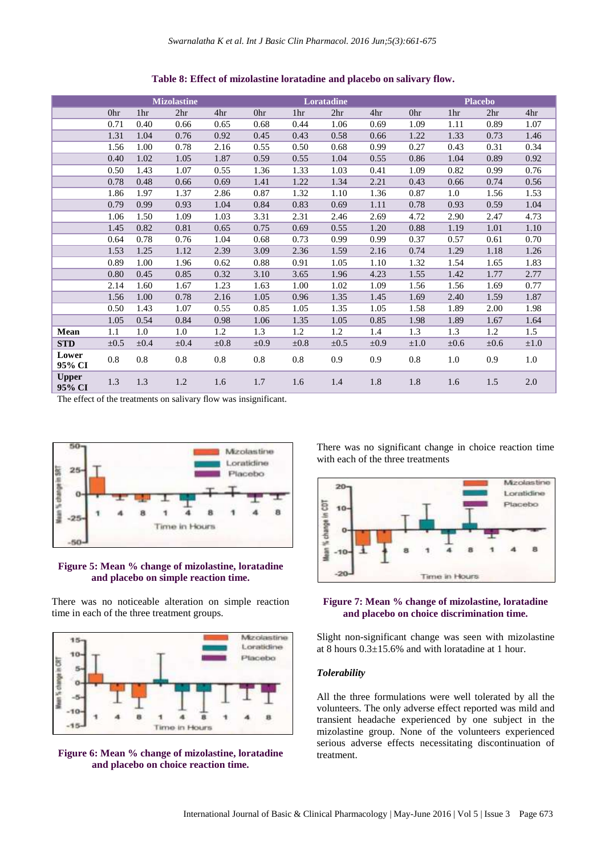|                        |           |                 | <b>Mizolastine</b> |           |           |      | Loratadine      |           | <b>Placebo</b> |                 |                 |           |  |
|------------------------|-----------|-----------------|--------------------|-----------|-----------|------|-----------------|-----------|----------------|-----------------|-----------------|-----------|--|
|                        | 0hr       | 1 <sup>hr</sup> | 2 <sup>hr</sup>    | 4hr       | 0hr       | 1hr  | 2 <sup>hr</sup> | 4hr       | 0hr            | 1 <sub>hr</sub> | 2 <sup>hr</sup> | 4hr       |  |
|                        | 0.71      | 0.40            | 0.66               | 0.65      | 0.68      | 0.44 | 1.06            | 0.69      | 1.09           | 1.11            | 0.89            | 1.07      |  |
|                        | 1.31      | 1.04            | 0.76               | 0.92      | 0.45      | 0.43 | 0.58            | 0.66      | 1.22           | 1.33            | 0.73            | 1.46      |  |
|                        | 1.56      | 1.00            | 0.78               | 2.16      | 0.55      | 0.50 | 0.68            | 0.99      | 0.27           | 0.43            | 0.31            | 0.34      |  |
|                        | 0.40      | 1.02            | 1.05               | 1.87      | 0.59      | 0.55 | 1.04            | 0.55      | 0.86           | 1.04            | 0.89            | 0.92      |  |
|                        | 0.50      | 1.43            | 1.07               | 0.55      | 1.36      | 1.33 | 1.03            | 0.41      | 1.09           | 0.82            | 0.99            | 0.76      |  |
|                        | 0.78      | 0.48            | 0.66               | 0.69      | 1.41      | 1.22 | 1.34            | 2.21      | 0.43           | 0.66            | 0.74            | 0.56      |  |
|                        | 1.86      | 1.97            | 1.37               | 2.86      | 0.87      | 1.32 | 1.10            | 1.36      | 0.87           | 1.0             | 1.56            | 1.53      |  |
|                        | 0.79      | 0.99            | 0.93               | 1.04      | 0.84      | 0.83 | 0.69            | 1.11      | 0.78           | 0.93            | 0.59            | 1.04      |  |
|                        | 1.06      | 1.50            | 1.09               | 1.03      | 3.31      | 2.31 | 2.46            | 2.69      | 4.72           | 2.90            | 2.47            | 4.73      |  |
|                        | 1.45      | 0.82            | 0.81               | 0.65      | 0.75      | 0.69 | 0.55            | 1.20      | 0.88           | 1.19            | 1.01            | 1.10      |  |
|                        | 0.64      | 0.78            | 0.76               | 1.04      | 0.68      | 0.73 | 0.99            | 0.99      | 0.37           | 0.57            | 0.61            | 0.70      |  |
|                        | 1.53      | 1.25            | 1.12               | 2.39      | 3.09      | 2.36 | 1.59            | 2.16      | 0.74           | 1.29            | 1.18            | 1.26      |  |
|                        | 0.89      | 1.00            | 1.96               | 0.62      | 0.88      | 0.91 | 1.05            | 1.10      | 1.32           | 1.54            | 1.65            | 1.83      |  |
|                        | 0.80      | 0.45            | 0.85               | 0.32      | 3.10      | 3.65 | 1.96            | 4.23      | 1.55           | 1.42            | 1.77            | 2.77      |  |
|                        | 2.14      | 1.60            | 1.67               | 1.23      | 1.63      | 1.00 | 1.02            | 1.09      | 1.56           | 1.56            | 1.69            | 0.77      |  |
|                        | 1.56      | 1.00            | 0.78               | 2.16      | 1.05      | 0.96 | 1.35            | 1.45      | 1.69           | 2.40            | 1.59            | 1.87      |  |
|                        | 0.50      | 1.43            | 1.07               | 0.55      | 0.85      | 1.05 | 1.35            | 1.05      | 1.58           | 1.89            | 2.00            | 1.98      |  |
|                        | 1.05      | 0.54            | 0.84               | 0.98      | 1.06      | 1.35 | 1.05            | 0.85      | 1.98           | 1.89            | 1.67            | 1.64      |  |
| Mean                   | 1.1       | 1.0             | 1.0                | 1.2       | 1.3       | 1.2  | 1.2             | 1.4       | 1.3            | 1.3             | 1.2             | 1.5       |  |
| <b>STD</b>             | $\pm 0.5$ | $\pm 0.4$       | $\pm 0.4$          | $\pm 0.8$ | $\pm 0.9$ | ±0.8 | $\pm 0.5$       | $\pm 0.9$ | $\pm 1.0$      | $\pm 0.6$       | $\pm 0.6$       | $\pm 1.0$ |  |
| Lower<br>95% CI        | 0.8       | 0.8             | 0.8                | 0.8       | $0.8\,$   | 0.8  | 0.9             | 0.9       | 0.8            | 1.0             | 0.9             | 1.0       |  |
| <b>Upper</b><br>95% CI | 1.3       | 1.3             | 1.2                | 1.6       | 1.7       | 1.6  | 1.4             | 1.8       | 1.8            | 1.6             | 1.5             | 2.0       |  |

**Table 8: Effect of mizolastine loratadine and placebo on salivary flow.**

The effect of the treatments on salivary flow was insignificant.



**Figure 5: Mean % change of mizolastine, loratadine and placebo on simple reaction time.**

There was no noticeable alteration on simple reaction time in each of the three treatment groups.



**Figure 6: Mean % change of mizolastine, loratadine and placebo on choice reaction time.**

There was no significant change in choice reaction time with each of the three treatments



#### **Figure 7: Mean % change of mizolastine, loratadine and placebo on choice discrimination time.**

Slight non-significant change was seen with mizolastine at 8 hours 0.3±15.6% and with loratadine at 1 hour.

## *Tolerability*

All the three formulations were well tolerated by all the volunteers. The only adverse effect reported was mild and transient headache experienced by one subject in the mizolastine group. None of the volunteers experienced serious adverse effects necessitating discontinuation of treatment.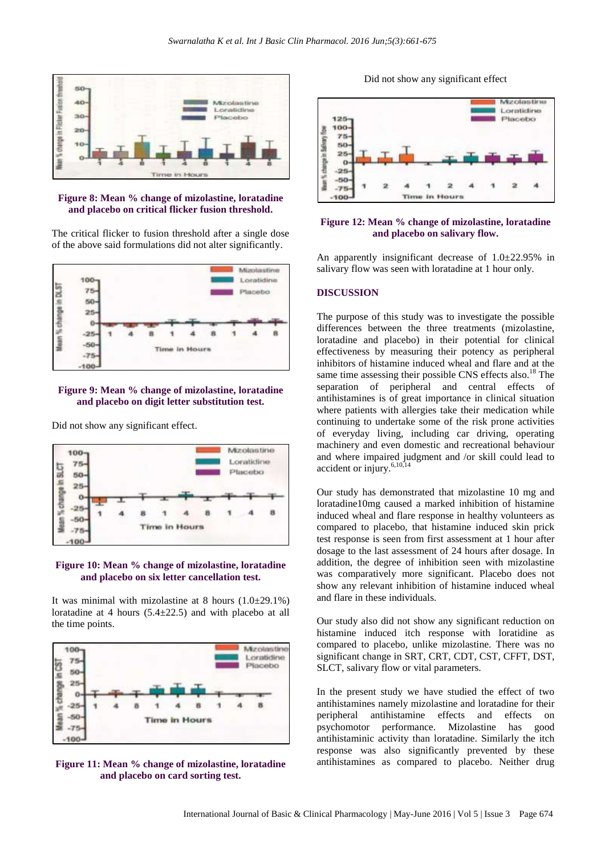

**Figure 8: Mean % change of mizolastine, loratadine and placebo on critical flicker fusion threshold.**

The critical flicker to fusion threshold after a single dose of the above said formulations did not alter significantly.



## **Figure 9: Mean % change of mizolastine, loratadine and placebo on digit letter substitution test.**

Did not show any significant effect.



#### **Figure 10: Mean % change of mizolastine, loratadine and placebo on six letter cancellation test.**

It was minimal with mizolastine at 8 hours  $(1.0\pm 29.1\%)$ loratadine at 4 hours (5.4±22.5) and with placebo at all the time points.



**Figure 11: Mean % change of mizolastine, loratadine and placebo on card sorting test.**





#### **Figure 12: Mean % change of mizolastine, loratadine and placebo on salivary flow.**

An apparently insignificant decrease of 1.0±22.95% in salivary flow was seen with loratadine at 1 hour only.

#### **DISCUSSION**

The purpose of this study was to investigate the possible differences between the three treatments (mizolastine, loratadine and placebo) in their potential for clinical effectiveness by measuring their potency as peripheral inhibitors of histamine induced wheal and flare and at the same time assessing their possible CNS effects also.<sup>18</sup> The separation of peripheral and central effects of antihistamines is of great importance in clinical situation where patients with allergies take their medication while continuing to undertake some of the risk prone activities of everyday living, including car driving, operating machinery and even domestic and recreational behaviour and where impaired judgment and /or skill could lead to accident or injury.6,10,14

Our study has demonstrated that mizolastine 10 mg and loratadine10mg caused a marked inhibition of histamine induced wheal and flare response in healthy volunteers as compared to placebo, that histamine induced skin prick test response is seen from first assessment at 1 hour after dosage to the last assessment of 24 hours after dosage. In addition, the degree of inhibition seen with mizolastine was comparatively more significant. Placebo does not show any relevant inhibition of histamine induced wheal and flare in these individuals.

Our study also did not show any significant reduction on histamine induced itch response with loratidine as compared to placebo, unlike mizolastine. There was no significant change in SRT, CRT, CDT, CST, CFFT, DST, SLCT, salivary flow or vital parameters.

In the present study we have studied the effect of two antihistamines namely mizolastine and loratadine for their peripheral antihistamine effects and effects on psychomotor performance. Mizolastine has good antihistaminic activity than loratadine. Similarly the itch response was also significantly prevented by these antihistamines as compared to placebo. Neither drug